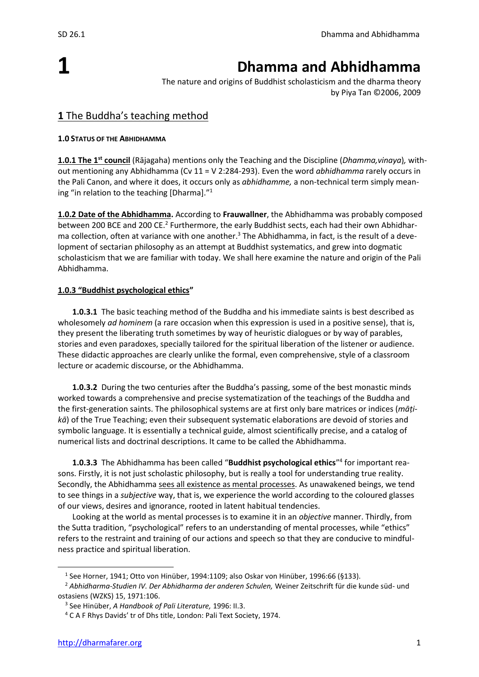# **1**

## **Dhamma and Abhidhamma**

The nature and origins of Buddhist scholasticism and the dharma theory by Piya Tan ©2006, 2009

## **1** The Buddha's teaching method

#### **1.0 STATUS OF THE ABHIDHAMMA**

**1.0.1 The 1 st council** (Rājagaha) mentions only the Teaching and the Discipline (*Dhamma,vinaya*)*,* without mentioning any Abhidhamma (Cv 11 = V 2:284-293). Even the word *abhidhamma* rarely occurs in the Pali Canon, and where it does, it occurs only as *abhidhamme,* a non-technical term simply meaning "in relation to the teaching [Dharma]."<sup>1</sup>

**1.0.2 Date of the Abhidhamma.** According to **Frauwallner**, the Abhidhamma was probably composed between 200 BCE and 200 CE.<sup>2</sup> Furthermore, the early Buddhist sects, each had their own Abhidharma collection, often at variance with one another.<sup>3</sup> The Abhidhamma, in fact, is the result of a development of sectarian philosophy as an attempt at Buddhist systematics, and grew into dogmatic scholasticism that we are familiar with today. We shall here examine the nature and origin of the Pali Abhidhamma.

#### **1.0.3 "Buddhist psychological ethics"**

**1.0.3.1** The basic teaching method of the Buddha and his immediate saints is best described as wholesomely *ad hominem* (a rare occasion when this expression is used in a positive sense), that is, they present the liberating truth sometimes by way of heuristic dialogues or by way of parables, stories and even paradoxes, specially tailored for the spiritual liberation of the listener or audience. These didactic approaches are clearly unlike the formal, even comprehensive, style of a classroom lecture or academic discourse, or the Abhidhamma.

**1.0.3.2** During the two centuries after the Buddha's passing, some of the best monastic minds worked towards a comprehensive and precise systematization of the teachings of the Buddha and the first-generation saints. The philosophical systems are at first only bare matrices or indices (*māṭikā*) of the True Teaching; even their subsequent systematic elaborations are devoid of stories and symbolic language. It is essentially a technical guide, almost scientifically precise, and a catalog of numerical lists and doctrinal descriptions. It came to be called the Abhidhamma.

**1.0.3.3** The Abhidhamma has been called "**Buddhist psychological ethics**" 4 for important reasons. Firstly, it is not just scholastic philosophy, but is really a tool for understanding true reality. Secondly, the Abhidhamma sees all existence as mental processes. As unawakened beings, we tend to see things in a *subjective* way, that is, we experience the world according to the coloured glasses of our views, desires and ignorance, rooted in latent habitual tendencies.

Looking at the world as mental processes is to examine it in an *objective* manner. Thirdly, from the Sutta tradition, "psychological" refers to an understanding of mental processes, while "ethics" refers to the restraint and training of our actions and speech so that they are conducive to mindfulness practice and spiritual liberation.

<sup>&</sup>lt;sup>1</sup> See Horner, 1941; Otto von Hinüber, 1994:1109; also Oskar von Hinüber, 1996:66 (§133).

<sup>2</sup> *Abhidharma-Studien IV. Der Abhidharma der anderen Schulen,* Weiner Zeitschrift für die kunde süd- und ostasiens (WZKS) 15, 1971:106.

<sup>3</sup> See Hinüber, *A Handbook of Pali Literature,* 1996: II.3.

<sup>4</sup> C A F Rhys Davids' tr of Dhs title, London: Pali Text Society, 1974.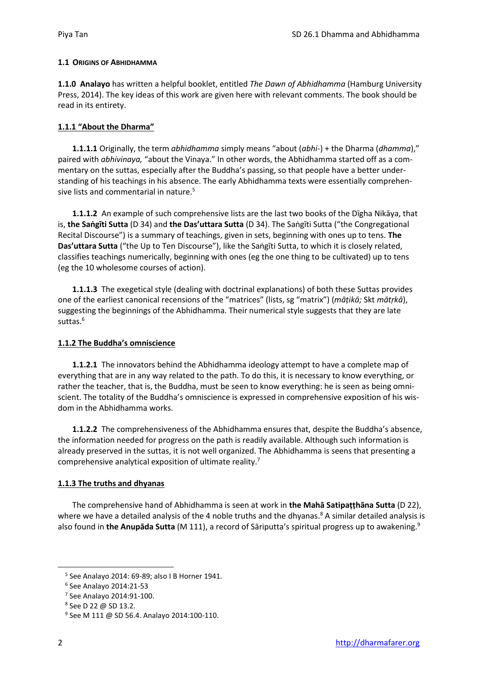#### **1.1 ORIGINS OF ABHIDHAMMA**

**1.1.0 Analayo** has written a helpful booklet, entitled *The Dawn of Abhidhamma* (Hamburg University Press, 2014). The key ideas of this work are given here with relevant comments. The book should be read in its entirety.

#### **1.1.1 "About the Dharma"**

**1.1.1.1** Originally, the term *abhidhamma* simply means "about (*abhi-*) + the Dharma (*dhamma*)," paired with *abhivinaya,* "about the Vinaya." In other words, the Abhidhamma started off as a commentary on the suttas, especially after the Buddha's passing, so that people have a better understanding of his teachings in his absence. The early Abhidhamma texts were essentially comprehensive lists and commentarial in nature.<sup>5</sup>

**1.1.1.2** An example of such comprehensive lists are the last two books of the Dīgha Nikāya, that is, **the Saṅgīti Sutta** (D 34) and **the Das'uttara Sutta** (D 34). The Saṅgīti Sutta ("the Congregational Recital Discourse") is a summary of teachings, given in sets, beginning with ones up to tens. **The Das'uttara Sutta** ("the Up to Ten Discourse"), like the Saṅgīti Sutta, to which it is closely related, classifies teachings numerically, beginning with ones (eg the one thing to be cultivated) up to tens (eg the 10 wholesome courses of action).

**1.1.1.3** The exegetical style (dealing with doctrinal explanations) of both these Suttas provides one of the earliest canonical recensions of the "matrices" (lists, sg "matrix") (*māṭikā;* Skt *mātṛkā*), suggesting the beginnings of the Abhidhamma. Their numerical style suggests that they are late suttas.<sup>6</sup>

#### **1.1.2 The Buddha's omniscience**

**1.1.2.1** The innovators behind the Abhidhamma ideology attempt to have a complete map of everything that are in any way related to the path. To do this, it is necessary to know everything, or rather the teacher, that is, the Buddha, must be seen to know everything: he is seen as being omniscient. The totality of the Buddha's omniscience is expressed in comprehensive exposition of his wisdom in the Abhidhamma works.

**1.1.2.2** The comprehensiveness of the Abhidhamma ensures that, despite the Buddha's absence, the information needed for progress on the path is readily available. Although such information is already preserved in the suttas, it is not well organized. The Abhidhamma is seens that presenting a comprehensive analytical exposition of ultimate reality.<sup>7</sup>

#### **1.1.3 The truths and dhyanas**

The comprehensive hand of Abhidhamma is seen at work in **the Mahā Satipaṭṭhāna Sutta** (D 22), where we have a detailed analysis of the 4 noble truths and the dhyanas.<sup>8</sup> A similar detailed analysis is also found in **the Anupāda Sutta** (M 111), a record of Sāriputta's spiritual progress up to awakening.<sup>9</sup>

<sup>5</sup> See Analayo 2014: 69-89; also I B Horner 1941.

<sup>6</sup> See Analayo 2014:21-53

<sup>7</sup> See Analayo 2014:91-100.

<sup>8</sup> See D 22 @ SD 13.2.

<sup>9</sup> See M 111 @ SD 56.4. Analayo 2014:100-110.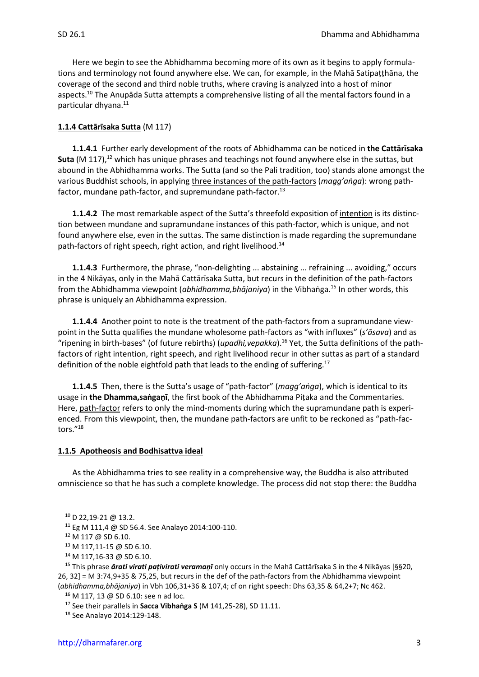Here we begin to see the Abhidhamma becoming more of its own as it begins to apply formulations and terminology not found anywhere else. We can, for example, in the Mahā Satipaṭṭhāna, the coverage of the second and third noble truths, where craving is analyzed into a host of minor aspects.<sup>10</sup> The Anupāda Sutta attempts a comprehensive listing of all the mental factors found in a particular dhyana.<sup>11</sup>

#### **1.1.4 Cattārīsaka Sutta** (M 117)

**1.1.4.1** Further early development of the roots of Abhidhamma can be noticed in **the Cattārīsaka Suta** (M 117), <sup>12</sup> which has unique phrases and teachings not found anywhere else in the suttas, but abound in the Abhidhamma works. The Sutta (and so the Pali tradition, too) stands alone amongst the various Buddhist schools, in applying three instances of the path-factors (*magg'aṅga*): wrong pathfactor, mundane path-factor, and supremundane path-factor.<sup>13</sup>

**1.1.4.2** The most remarkable aspect of the Sutta's threefold exposition of intention is its distinction between mundane and supramundane instances of this path-factor, which is unique, and not found anywhere else, even in the suttas. The same distinction is made regarding the supremundane path-factors of right speech, right action, and right livelihood.<sup>14</sup>

**1.1.4.3** Furthermore, the phrase, "non-delighting ... abstaining ... refraining ... avoiding," occurs in the 4 Nikāyas, only in the Mahā Cattārīsaka Sutta, but recurs in the definition of the path-factors from the Abhidhamma viewpoint (*abhidhamma,bhājaniya*) in the Vibhaṅga.<sup>15</sup> In other words, this phrase is uniquely an Abhidhamma expression.

**1.1.4.4** Another point to note is the treatment of the path-factors from a supramundane viewpoint in the Sutta qualifies the mundane wholesome path-factors as "with influxes" (*s'āsava*) and as "ripening in birth-bases" (of future rebirths) (*upadhi,vepakka*).<sup>16</sup> Yet, the Sutta definitions of the pathfactors of right intention, right speech, and right livelihood recur in other suttas as part of a standard definition of the noble eightfold path that leads to the ending of suffering.<sup>17</sup>

**1.1.4.5** Then, there is the Sutta's usage of "path-factor" (*magg'aṅga*), which is identical to its usage in **the Dhamma,saṅgaṇī**, the first book of the Abhidhamma Piṭaka and the Commentaries. Here, path-factor refers to only the mind-moments during which the supramundane path is experienced. From this viewpoint, then, the mundane path-factors are unfit to be reckoned as "path-factors."<sup>18</sup>

#### **1.1.5 Apotheosis and Bodhisattva ideal**

As the Abhidhamma tries to see reality in a comprehensive way, the Buddha is also attributed omniscience so that he has such a complete knowledge. The process did not stop there: the Buddha

<sup>10</sup> D 22,19-21 @ 13.2.

<sup>11</sup> Eg M 111,4 @ SD 56.4. See Analayo 2014:100-110.

<sup>12</sup> M 117 @ SD 6.10.

<sup>13</sup> M 117,11-15 @ SD 6.10.

 $14$  M 117,16-33 @ SD 6.10.

<sup>15</sup> This phrase *ārati virati paṭivirati veramaṇī* only occurs in the Mahā Cattārīsaka S in the 4 Nikāyas [§§20, 26, 32] = M 3:74,9+35 & 75,25, but recurs in the def of the path-factors from the Abhidhamma viewpoint (*abhidhamma,bhājaniya*) in Vbh 106,31+36 & 107,4; cf on right speech: Dhs 63,35 & 64,2+7; Nc 462.

<sup>16</sup> M 117, 13 @ SD 6.10: see n ad loc.

<sup>17</sup> See their parallels in **Sacca Vibhaṅga S** (M 141,25-28), SD 11.11.

<sup>18</sup> See Analayo 2014:129-148.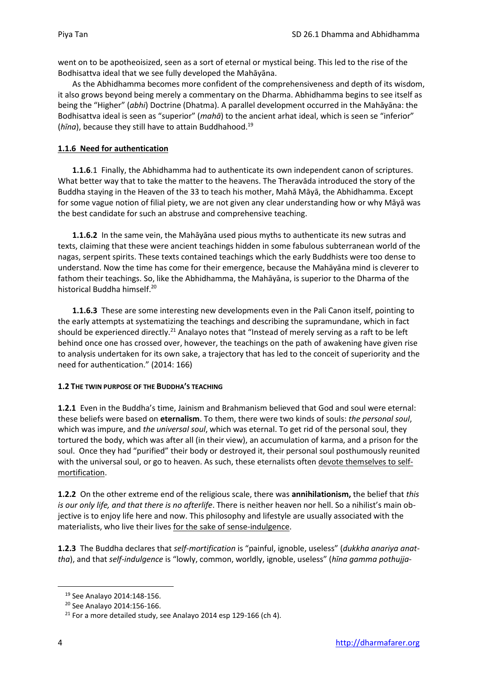went on to be apotheoisized, seen as a sort of eternal or mystical being. This led to the rise of the Bodhisattva ideal that we see fully developed the Mahāyāna.

As the Abhidhamma becomes more confident of the comprehensiveness and depth of its wisdom, it also grows beyond being merely a commentary on the Dharma. Abhidhamma begins to see itself as being the "Higher" (*abhi*) Doctrine (Dhatma). A parallel development occurred in the Mahāyāna: the Bodhisattva ideal is seen as "superior" (*mahā*) to the ancient arhat ideal, which is seen se "inferior" (*hīna*), because they still have to attain Buddhahood.<sup>19</sup>

#### **1.1.6 Need for authentication**

**1.1.6**.1 Finally, the Abhidhamma had to authenticate its own independent canon of scriptures. What better way that to take the matter to the heavens. The Theravāda introduced the story of the Buddha staying in the Heaven of the 33 to teach his mother, Mahā Māyā, the Abhidhamma. Except for some vague notion of filial piety, we are not given any clear understanding how or why Māyā was the best candidate for such an abstruse and comprehensive teaching.

**1.1.6.2** In the same vein, the Mahāyāna used pious myths to authenticate its new sutras and texts, claiming that these were ancient teachings hidden in some fabulous subterranean world of the nagas, serpent spirits. These texts contained teachings which the early Buddhists were too dense to understand. Now the time has come for their emergence, because the Mahāyāna mind is cleverer to fathom their teachings. So, like the Abhidhamma, the Mahāyāna, is superior to the Dharma of the historical Buddha himself.<sup>20</sup>

**1.1.6.3** These are some interesting new developments even in the Pali Canon itself, pointing to the early attempts at systematizing the teachings and describing the supramundane, which in fact should be experienced directly.<sup>21</sup> Analayo notes that "Instead of merely serving as a raft to be left behind once one has crossed over, however, the teachings on the path of awakening have given rise to analysis undertaken for its own sake, a trajectory that has led to the conceit of superiority and the need for authentication." (2014: 166)

#### **1.2 THE TWIN PURPOSE OF THE BUDDHA'S TEACHING**

**1.2.1** Even in the Buddha's time, Jainism and Brahmanism believed that God and soul were eternal: these beliefs were based on **eternalism**. To them, there were two kinds of souls: *the personal soul*, which was impure, and *the universal soul*, which was eternal. To get rid of the personal soul, they tortured the body, which was after all (in their view), an accumulation of karma, and a prison for the soul. Once they had "purified" their body or destroyed it, their personal soul posthumously reunited with the universal soul, or go to heaven. As such, these eternalists often devote themselves to selfmortification.

**1.2.2** On the other extreme end of the religious scale, there was **annihilationism,** the belief that *this is our only life, and that there is no afterlife*. There is neither heaven nor hell. So a nihilist's main objective is to enjoy life here and now. This philosophy and lifestyle are usually associated with the materialists, who live their lives for the sake of sense-indulgence.

**1.2.3** The Buddha declares that *self-mortification* is "painful, ignoble, useless" (*dukkha anariya anattha*), and that *self-indulgence* is "lowly, common, worldly, ignoble, useless" (*hīna gamma pothujja-*

<sup>19</sup> See Analayo 2014:148-156.

<sup>20</sup> See Analayo 2014:156-166.

 $21$  For a more detailed study, see Analayo 2014 esp 129-166 (ch 4).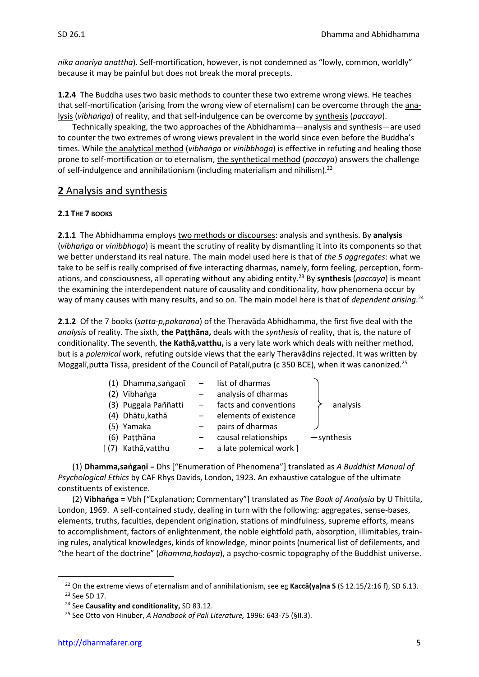*nika anariya anattha*). Self-mortification, however, is not condemned as "lowly, common, worldly" because it may be painful but does not break the moral precepts.

**1.2.4** The Buddha uses two basic methods to counter these two extreme wrong views. He teaches that self-mortification (arising from the wrong view of eternalism) can be overcome through the analysis (*vibhaṅga*) of reality, and that self-indulgence can be overcome by synthesis (*paccaya*).

Technically speaking, the two approaches of the Abhidhamma—analysis and synthesis—are used to counter the two extremes of wrong views prevalent in the world since even before the Buddha's times. While the analytical method (*vibhaṅga* or *vinibbhoga*) is effective in refuting and healing those prone to self-mortification or to eternalism, the synthetical method (*paccaya*) answers the challenge of self-indulgence and annihilationism (including materialism and nihilism).<sup>22</sup>

## **2** Analysis and synthesis

#### **2.1 THE 7 BOOKS**

**2.1.1** The Abhidhamma employs two methods or discourses: analysis and synthesis. By **analysis** (*vibhaṅga* or *vinibbhoga*) is meant the scrutiny of reality by dismantling it into its components so that we better understand its real nature. The main model used here is that of *the 5 aggregates*: what we take to be self is really comprised of five interacting dharmas, namely, form feeling, perception, formations, and consciousness, all operating without any abiding entity.<sup>23</sup> By **synthesis** (*paccaya*) is meant the examining the interdependent nature of causality and conditionality, how phenomena occur by way of many causes with many results, and so on. The main model here is that of *dependent arising*. 24

**2.1.2** Of the 7 books (*satta-p,pakaraṇa*) of the Theravāda Abhidhamma, the first five deal with the *analysis* of reality. The sixth, **the Paṭṭhāna,** deals with the *synthesis* of reality, that is, the nature of conditionality. The seventh, **the Kathā,vatthu,** is a very late work which deals with neither method, but is a *polemical* work, refuting outside views that the early Theravādins rejected. It was written by Moggalī,putta Tissa, president of the Council of Paṭalī,putra (c 350 BCE), when it was canonized.<sup>25</sup>

| (1) Dhamma, sangani – | list of dharmas         |              |
|-----------------------|-------------------------|--------------|
| (2) Vibhanga          | analysis of dharmas     |              |
| (3) Puggala Paññatti  | facts and conventions   | analysis     |
| (4) Dhātu, kathā      | elements of existence   |              |
| (5) Yamaka            | pairs of dharmas        |              |
| (6) Patthāna          | causal relationships    | $-synthesis$ |
| [(7) Kathā, vatthu    | a late polemical work ] |              |

(1) **Dhamma,saṅgaṇī** = Dhs ["Enumeration of Phenomena"] translated as *A Buddhist Manual of Psychological Ethics* by CAF Rhys Davids, London, 1923. An exhaustive catalogue of the ultimate constituents of existence.

(2) **Vibhaṅga** = Vbh ["Explanation; Commentary"] translated as *The Book of Analysia* by U Thittila, London, 1969. A self-contained study, dealing in turn with the following: aggregates, sense-bases, elements, truths, faculties, dependent origination, stations of mindfulness, supreme efforts, means to accomplishment, factors of enlightenment, the noble eightfold path, absorption, illimitables, training rules, analytical knowledges, kinds of knowledge, minor points (numerical list of defilements, and "the heart of the doctrine" (*dhamma,hadaya*), a psycho-cosmic topography of the Buddhist universe.

<sup>22</sup> On the extreme views of eternalism and of annihilationism, see eg **Kaccā(ya)na S** (S 12.15/2:16 f), SD 6.13. <sup>23</sup> See SD 17.

<sup>24</sup> See **Causality and conditionality,** SD 83.12.

<sup>25</sup> See Otto von Hinüber, *A Handbook of Pali Literature,* 1996: 643-75 (§II.3).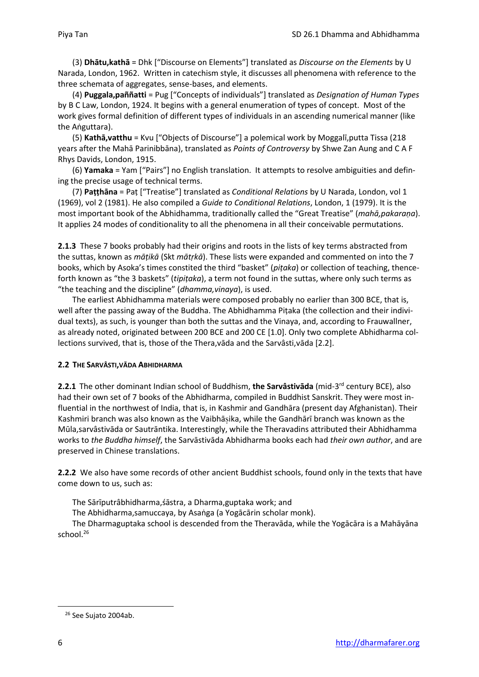(3) **Dhātu,kathā** = Dhk ["Discourse on Elements"] translated as *Discourse on the Elements* by U Narada, London, 1962. Written in catechism style, it discusses all phenomena with reference to the three schemata of aggregates, sense-bases, and elements.

(4) **Puggala,paññatti** = Pug ["Concepts of individuals"] translated as *Designation of Human Types* by B C Law, London, 1924. It begins with a general enumeration of types of concept. Most of the work gives formal definition of different types of individuals in an ascending numerical manner (like the Aṅguttara).

(5) **Kathā,vatthu** = Kvu ["Objects of Discourse"] a polemical work by Moggalī,putta Tissa (218 years after the Mahā Parinibbāna), translated as *Points of Controversy* by Shwe Zan Aung and C A F Rhys Davids, London, 1915.

(6) **Yamaka** = Yam ["Pairs"] no English translation. It attempts to resolve ambiguities and defining the precise usage of technical terms.

(7) **Paṭṭhāna** = Paṭ ["Treatise"] translated as *Conditional Relations* by U Narada, London, vol 1 (1969), vol 2 (1981). He also compiled a *Guide to Conditional Relations*, London, 1 (1979). It is the most important book of the Abhidhamma, traditionally called the "Great Treatise" (*mahā,pakaraṇa*). It applies 24 modes of conditionality to all the phenomena in all their conceivable permutations.

**2.1.3** These 7 books probably had their origins and roots in the lists of key terms abstracted from the suttas, known as *māṭikā* (Skt *mātṛkā*). These lists were expanded and commented on into the 7 books, which by Asoka's times constited the third "basket" (*piṭaka*) or collection of teaching, thenceforth known as "the 3 baskets" (*tipiṭaka*), a term not found in the suttas, where only such terms as "the teaching and the discipline" (*dhamma,vinaya*), is used.

The earliest Abhidhamma materials were composed probably no earlier than 300 BCE, that is, well after the passing away of the Buddha. The Abhidhamma Piṭaka (the collection and their individual texts), as such, is younger than both the suttas and the Vinaya, and, according to Frauwallner, as already noted, originated between 200 BCE and 200 CE [1.0]. Only two complete Abhidharma collections survived, that is, those of the Thera,vāda and the Sarvâsti,vāda [2.2].

#### **2.2 THE SARVÂSTI,VĀDA ABHIDHARMA**

2.2.1 The other dominant Indian school of Buddhism, the Sarvâstivāda (mid-3<sup>rd</sup> century BCE), also had their own set of 7 books of the Abhidharma, compiled in Buddhist Sanskrit. They were most influential in the northwest of India, that is, in Kashmir and Gandhāra (present day Afghanistan). Their Kashmiri branch was also known as the Vaibhāika, while the Gandhārī branch was known as the Mūla,sarvâstivāda or Sautrāntika. Interestingly, while the Theravadins attributed their Abhidhamma works to *the Buddha himself*, the Sarvāstivāda Abhidharma books each had *their own author*, and are preserved in Chinese translations.

**2.2.2** We also have some records of other ancient Buddhist schools, found only in the texts that have come down to us, such as:

The Sārīputrâbhidharma,śāstra, a Dharma,guptaka work; and

The Abhidharma,samuccaya, by Asaṅga (a Yogācārin scholar monk).

The Dharmaguptaka school is descended from the Theravāda, while the Yogācāra is a Mahāyāna school.<sup>26</sup>

<sup>&</sup>lt;sup>26</sup> See Sujato 2004ab.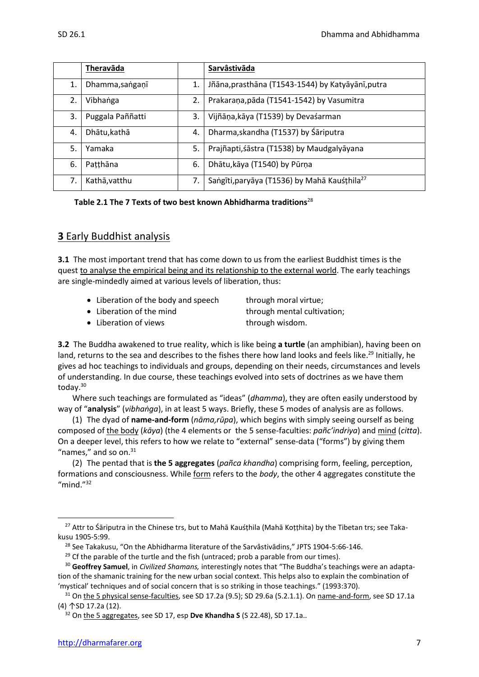|    | Theravāda        |    | Sarvâstivāda                                             |
|----|------------------|----|----------------------------------------------------------|
| 1. | Dhamma, sanganī  | 1. | Jñāna, prasthāna (T1543-1544) by Katyāyānī, putra        |
| 2. | Vibhanga         | 2. | Prakaraņa, pāda (T1541-1542) by Vasumitra                |
| 3. | Puggala Paññatti | 3. | Vijñāņa, kāya (T1539) by Devaśarman                      |
| 4. | Dhātu, kathā     | 4. | Dharma, skandha (T1537) by Śāriputra                     |
| 5. | Yamaka           | 5. | Prajñapti, śāstra (T1538) by Maudgalyāyana               |
| 6. | Patthāna         | 6. | Dhātu, kāya (T1540) by Pūrņa                             |
| 7. | Kathā, vatthu    | 7. | Saṅgīti, paryāya (T1536) by Mahā Kauśțhila <sup>27</sup> |

**Table 2.1 The 7 Texts of two best known Abhidharma traditions**<sup>28</sup>

## **3** Early Buddhist analysis

**3.1** The most important trend that has come down to us from the earliest Buddhist times is the quest to analyse the empirical being and its relationship to the external world. The early teachings are single-mindedly aimed at various levels of liberation, thus:

- Liberation of the body and speech through moral virtue;
	-
- Liberation of the mind through mental cultivation;
	-
- Liberation of views through wisdom.

**3.2** The Buddha awakened to true reality, which is like being **a turtle** (an amphibian), having been on land, returns to the sea and describes to the fishes there how land looks and feels like.<sup>29</sup> Initially, he gives ad hoc teachings to individuals and groups, depending on their needs, circumstances and levels of understanding. In due course, these teachings evolved into sets of doctrines as we have them today. 30

Where such teachings are formulated as "ideas" (*dhamma*), they are often easily understood by way of "**analysis**" (*vibhaṅga*), in at least 5 ways. Briefly, these 5 modes of analysis are as follows.

(1) The dyad of **name-and-form** (*nāma,rūpa*), which begins with simply seeing ourself as being composed of the body (*kāya*) (the 4 elements or the 5 sense-faculties: *pañc'indriya*) and mind (*citta*). On a deeper level, this refers to how we relate to "external" sense-data ("forms") by giving them "names," and so on. $31$ 

(2) The pentad that is **the 5 aggregates** (*pañca khandha*) comprising form, feeling, perception, formations and consciousness. While form refers to the *body*, the other 4 aggregates constitute the "mind." $32$ 

<sup>&</sup>lt;sup>27</sup> Attr to Śāriputra in the Chinese trs, but to Mahā Kauśțhila (Mahā Koțțhita) by the Tibetan trs; see Takakusu 1905-5:99.

<sup>&</sup>lt;sup>28</sup> See Takakusu, "On the Abhidharma literature of the Sarvâstivādins," JPTS 1904-5:66-146.

 $29$  Cf the parable of the turtle and the fish (untraced; prob a parable from our times).

<sup>30</sup> **Geoffrey Samuel**, in *Civilized Shamans,* interestingly notes that "The Buddha's teachings were an adaptation of the shamanic training for the new urban social context. This helps also to explain the combination of 'mystical' techniques and of social concern that is so striking in those teachings." (1993:370).

<sup>&</sup>lt;sup>31</sup> On the 5 physical sense-faculties, see SD 17.2a (9.5); SD 29.6a (5.2.1.1). On name-and-form, see SD 17.1a (4) ↑SD 17.2a (12).

<sup>32</sup> On the 5 aggregates, see SD 17, esp **Dve Khandha S** (S 22.48), SD 17.1a..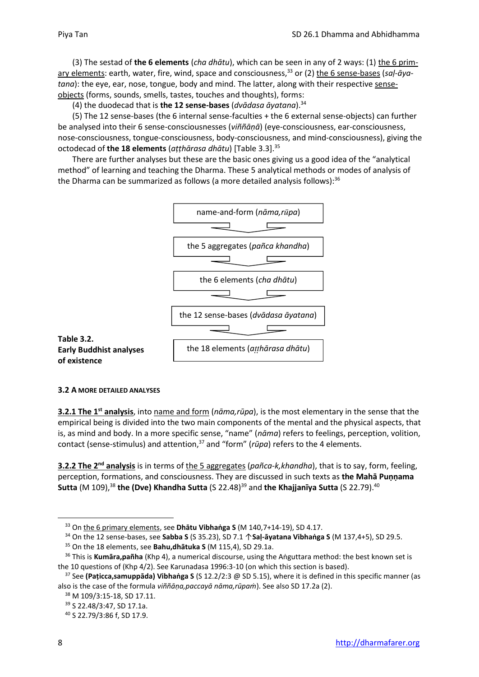(3) The sestad of **the 6 elements** (*cha dhātu*), which can be seen in any of 2 ways: (1) the 6 primary elements: earth, water, fire, wind, space and consciousness,<sup>33</sup> or (2) the 6 sense-bases (*saḷ-āyatana*): the eye, ear, nose, tongue, body and mind. The latter, along with their respective senseobjects (forms, sounds, smells, tastes, touches and thoughts), forms:

(4) the duodecad that is **the 12 sense-bases** (*dvādasa āyatana*).<sup>34</sup>

(5) The 12 sense-bases (the 6 internal sense-faculties + the 6 external sense-objects) can further be analysed into their 6 sense-consciousnesses (*viññāṇā*) (eye-consciousness, ear-consciousness, nose-consciousness, tongue-consciousness, body-consciousness, and mind-consciousness), giving the octodecad of **the 18 elements** (*aṭṭhārasa dhātu*) [Table 3.3]. 35

There are further analyses but these are the basic ones giving us a good idea of the "analytical method" of learning and teaching the Dharma. These 5 analytical methods or modes of analysis of the Dharma can be summarized as follows (a more detailed analysis follows):<sup>36</sup>



#### **3.2 A MORE DETAILED ANALYSES**

**3.2.1 The 1 st analysis**, into name and form (*nāma,rūpa*), is the most elementary in the sense that the empirical being is divided into the two main components of the mental and the physical aspects, that is, as mind and body. In a more specific sense, "name" (*nāma*) refers to feelings, perception, volition, contact (sense-stimulus) and attention,<sup>37</sup> and "form" (*rūpa*) refers to the 4 elements.

**3.2.2 The 2 nd analysis** is in terms of the 5 aggregates (*pañca-k,khandha*), that is to say, form, feeling, perception, formations, and consciousness. They are discussed in such texts as **the Mahā Puṇṇama Sutta** (M 109),<sup>38</sup> the (Dve) Khandha Sutta (S 22.48)<sup>39</sup> and the Khajjanīya Sutta (S 22.79).<sup>40</sup>

<sup>33</sup> On the 6 primary elements, see **Dhātu Vibhaṅga S** (M 140,7+14-19), SD 4.17.

<sup>34</sup> On the 12 sense-bases, see **Sabba S** (S 35.23), SD 7.1 ↑**Saḷ-āyatana Vibhaṅga S** (M 137,4+5), SD 29.5.

<sup>35</sup> On the 18 elements, see **Bahu,dhātuka S** (M 115,4), SD 29.1a.

<sup>36</sup> This is **Kumāra,pañha** (Khp 4), a numerical discourse, using the Aṅguttara method: the best known set is the 10 questions of (Khp 4/2). See Karunadasa 1996:3-10 (on which this section is based).

<sup>37</sup> See **(Paṭicca,samuppāda) Vibhaṅga S** (S 12.2/2:3 @ SD 5.15), where it is defined in this specific manner (as also is the case of the formula *viññāṇa,paccayā nāma,rūpaṁ*). See also SD 17.2a (2).

<sup>38</sup> M 109/3:15-18, SD 17.11.

<sup>39</sup> S 22.48/3:47, SD 17.1a.

<sup>40</sup> S 22.79/3:86 f, SD 17.9.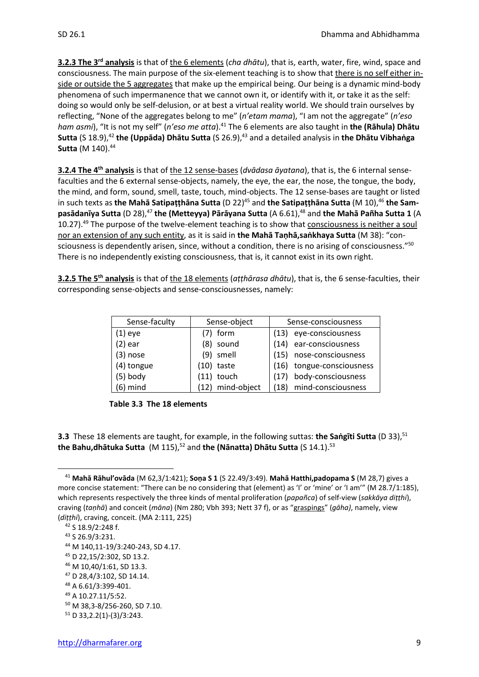**3.2.3 The 3<sup>rd</sup> analysis** is that of the 6 elements (*cha dhātu*), that is, earth, water, fire, wind, space and consciousness. The main purpose of the six-element teaching is to show that there is no self either inside or outside the 5 aggregates that make up the empirical being. Our being is a dynamic mind-body phenomena of such impermanence that we cannot own it, or identify with it, or take it as the self: doing so would only be self-delusion, or at best a virtual reality world. We should train ourselves by reflecting, "None of the aggregates belong to me" (*n'etam mama*), "I am not the aggregate" (*n'eso ham asmi*), "It is not my self" (*n'eso me atta*).<sup>41</sup> The 6 elements are also taught in **the (Rāhula) Dhātu Sutta** (S 18.9), <sup>42</sup> **the (Uppāda) Dhātu Sutta** (S 26.9), <sup>43</sup> and a detailed analysis in **the Dhātu Vibhaṅga Sutta** (M 140).<sup>44</sup>

**3.2.4 The 4 th analysis** is that of the 12 sense-bases (*dvādasa āyatana*), that is, the 6 internal sensefaculties and the 6 external sense-objects, namely, the eye, the ear, the nose, the tongue, the body, the mind, and form, sound, smell, taste, touch, mind-objects. The 12 sense-bases are taught or listed in such texts as the Mahā Satipaṭṭhāna Sutta (D 22)<sup>45</sup> and the Satipaṭṭhāna Sutta (M 10),<sup>46</sup> the Sam**pasādanīya Sutta** (D 28),<sup>47</sup> the (Metteyya) Pārāyana Sutta (A 6.61),<sup>48</sup> and the Mahā Pañha Sutta 1 (A 10.27).<sup>49</sup> The purpose of the twelve-element teaching is to show that consciousness is neither a soul nor an extension of any such entity, as it is said in **the Mahā Taṇhā,saṅkhaya Sutta** (M 38): "consciousness is dependently arisen, since, without a condition, there is no arising of consciousness."<sup>50</sup> There is no independently existing consciousness, that is, it cannot exist in its own right.

**3.2.5 The 5 th analysis** is that of the 18 elements (*aṭṭhārasa dhātu*), that is, the 6 sense-faculties, their corresponding sense-objects and sense-consciousnesses, namely:

| Sense-faculty | Sense-object     | Sense-consciousness        |
|---------------|------------------|----------------------------|
| (1) eye       | form             | eye-consciousness<br>(13)  |
| (2) ear       | sound<br>(8)     | ear-consciousness<br>(14)  |
| (3) nose      | smell<br>(9)     | nose-consciousness<br>(15) |
| (4) tongue    | $(10)$ taste     | (16) tongue-consciousness  |
| (5) body      | $(11)$ touch     | body-consciousness<br>(17) |
| (6) mind      | (12) mind-object | (18) mind-consciousness    |



**3.3** These 18 elements are taught, for example, in the following suttas: the Sangiti Sutta (D 33),<sup>51</sup> **the Bahu,dhātuka Sutta** (M 115),<sup>52</sup> and **the (Nānatta)** Dhātu Sutta (S 14.1).<sup>53</sup>

<sup>41</sup> **Mahā Rāhul'ovāda** (M 62,3/1:421); **Soṇa S 1** (S 22.49/3:49). **Mahā Hatthi,padopama S** (M 28,7) gives a more concise statement: "There can be no considering that (element) as 'I' or 'mine' or 'I am'" (M 28.7/1:185), which represents respectively the three kinds of mental proliferation (*papañca*) of self-view (*sakkāya diṭṭhi*), craving (*taṇhā*) and conceit (*māna*) (Nm 280; Vbh 393; Nett 37 f), or as "graspings" (*gāha)*, namely, view (*diṭṭhi*), craving, conceit. (MA 2:111, 225)

<sup>42</sup> S 18.9/2:248 f.

<sup>43</sup> S 26.9/3:231.

<sup>44</sup> M 140,11-19/3:240-243, SD 4.17.

<sup>45</sup> D 22,15/2:302, SD 13.2.

<sup>46</sup> M 10,40/1:61, SD 13.3.

<sup>47</sup> D 28,4/3:102, SD 14.14.

<sup>48</sup> A 6.61/3:399-401.

<sup>49</sup> A 10.27.11/5:52.

<sup>50</sup> M 38,3-8/256-260, SD 7.10.

 $51$  D 33, 2. 2(1) - (3) / 3: 243.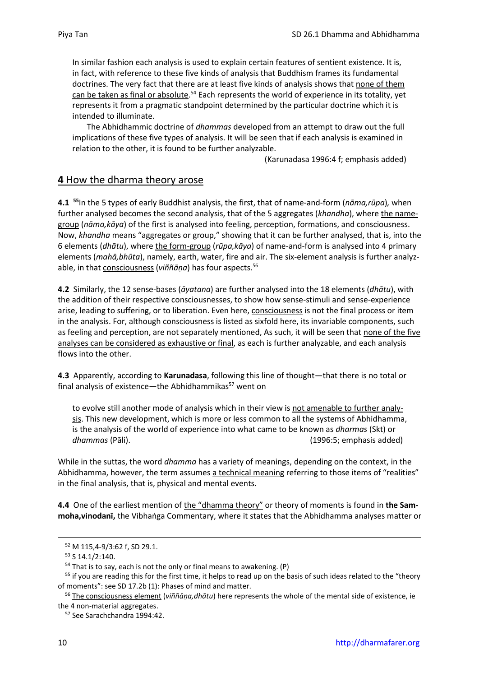In similar fashion each analysis is used to explain certain features of sentient existence. It is, in fact, with reference to these five kinds of analysis that Buddhism frames its fundamental doctrines. The very fact that there are at least five kinds of analysis shows that none of them can be taken as final or absolute.<sup>54</sup> Each represents the world of experience in its totality, yet represents it from a pragmatic standpoint determined by the particular doctrine which it is intended to illuminate.

The Abhidhammic doctrine of *dhammas* developed from an attempt to draw out the full implications of these five types of analysis. It will be seen that if each analysis is examined in relation to the other, it is found to be further analyzable.

(Karunadasa 1996:4 f; emphasis added)

## **4** How the dharma theory arose

**4.1 <sup>55</sup>**In the 5 types of early Buddhist analysis, the first, that of name-and-form (*nāma,rūpa*)*,* when further analysed becomes the second analysis, that of the 5 aggregates (*khandha*), where the namegroup (*nāma,kāya*) of the first is analysed into feeling, perception, formations, and consciousness. Now, *khandha* means "aggregates or group," showing that it can be further analysed, that is, into the 6 elements (*dhātu*), where the form-group (*rūpa,kāya*) of name-and-form is analysed into 4 primary elements (*mahā,bhūta*), namely, earth, water, fire and air. The six-element analysis is further analyzable, in that consciousness (*viññāṇa*) has four aspects.<sup>56</sup>

**4.2** Similarly, the 12 sense-bases (*āyatana*) are further analysed into the 18 elements (*dhātu*), with the addition of their respective consciousnesses, to show how sense-stimuli and sense-experience arise, leading to suffering, or to liberation. Even here, consciousness is not the final process or item in the analysis. For, although consciousness is listed as sixfold here, its invariable components, such as feeling and perception, are not separately mentioned, As such, it will be seen that none of the five analyses can be considered as exhaustive or final, as each is further analyzable, and each analysis flows into the other.

**4.3** Apparently, according to **Karunadasa**, following this line of thought—that there is no total or final analysis of existence—the Abhidhammikas $57$  went on

to evolve still another mode of analysis which in their view is not amenable to further analysis. This new development, which is more or less common to all the systems of Abhidhamma, is the analysis of the world of experience into what came to be known as *dharmas* (Skt) or *dhammas* (Pāli). (1996:5; emphasis added)

While in the suttas, the word *dhamma* has a variety of meanings, depending on the context, in the Abhidhamma, however, the term assumes a technical meaning referring to those items of "realities" in the final analysis, that is, physical and mental events.

**4.4** One of the earliest mention of the "dhamma theory" or theory of moments is found in **the Sammoha,vinodanī,** the Vibhaṅga Commentary, where it states that the Abhidhamma analyses matter or

<sup>57</sup> See Sarachchandra 1994:42.

<sup>52</sup> M 115,4-9/3:62 f, SD 29.1.

 $53$  S 14.1/2:140.

 $54$  That is to say, each is not the only or final means to awakening. (P)

<sup>&</sup>lt;sup>55</sup> if you are reading this for the first time, it helps to read up on the basis of such ideas related to the "theory of moments": see SD 17.2b (1): Phases of mind and matter.

<sup>56</sup> The consciousness element (*viññāṇa,dhātu*) here represents the whole of the mental side of existence, ie the 4 non-material aggregates.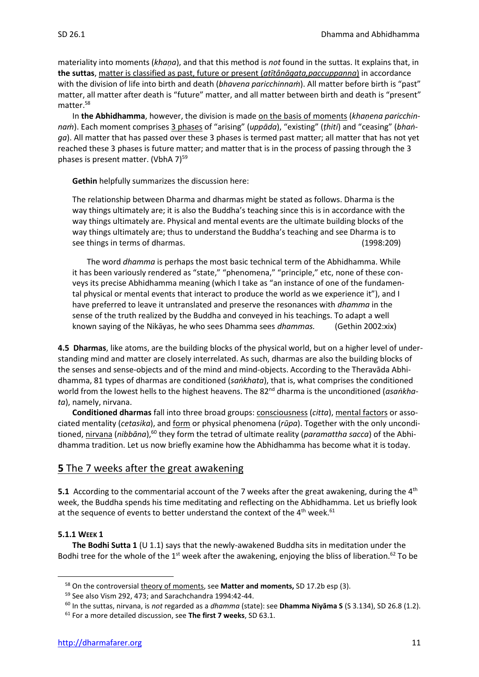materiality into moments (*khaṇa*), and that this method is *not* found in the suttas. It explains that, in **the suttas**, matter is classified as past, future or present (*atītânāgata,paccuppanna*) in accordance with the division of life into birth and death (*bhavena paricchinnaṁ*). All matter before birth is "past" matter, all matter after death is "future" matter, and all matter between birth and death is "present" matter.<sup>58</sup>

In **the Abhidhamma**, however, the division is made on the basis of moments (*khaṇena paricchinnaṁ*). Each moment comprises 3 phases of "arising" (*uppāda*), "existing" (*ṭhiti*) and "ceasing" (*bhaṅga*). All matter that has passed over these 3 phases is termed past matter; all matter that has not yet reached these 3 phases is future matter; and matter that is in the process of passing through the 3 phases is present matter. (VbhA  $7$ )<sup>59</sup>

**Gethin** helpfully summarizes the discussion here:

The relationship between Dharma and dharmas might be stated as follows. Dharma is the way things ultimately are; it is also the Buddha's teaching since this is in accordance with the way things ultimately are. Physical and mental events are the ultimate building blocks of the way things ultimately are; thus to understand the Buddha's teaching and see Dharma is to see things in terms of dharmas. (1998:209)

The word *dhamma* is perhaps the most basic technical term of the Abhidhamma. While it has been variously rendered as "state," "phenomena," "principle," etc, none of these conveys its precise Abhidhamma meaning (which I take as "an instance of one of the fundamental physical or mental events that interact to produce the world as we experience it"), and I have preferred to leave it untranslated and preserve the resonances with *dhamma* in the sense of the truth realized by the Buddha and conveyed in his teachings. To adapt a well known saying of the Nikāyas, he who sees Dhamma sees *dhammas.* (Gethin 2002:xix)

**4.5 Dharmas**, like atoms, are the building blocks of the physical world, but on a higher level of understanding mind and matter are closely interrelated. As such, dharmas are also the building blocks of the senses and sense-objects and of the mind and mind-objects. According to the Theravāda Abhidhamma, 81 types of dharmas are conditioned (*saṅkhata*), that is, what comprises the conditioned world from the lowest hells to the highest heavens. The 82<sup>nd</sup> dharma is the unconditioned (*asankhata*), namely, nirvana.

**Conditioned dharmas** fall into three broad groups: consciousness (*citta*), mental factors or associated mentality (*cetasika*), and form or physical phenomena (*rūpa*). Together with the only unconditioned, nirvana (*nibbāna*),<sup>60</sup> they form the tetrad of ultimate reality (*paramattha sacca*) of the Abhidhamma tradition. Let us now briefly examine how the Abhidhamma has become what it is today.

## **5** The 7 weeks after the great awakening

**5.1** According to the commentarial account of the 7 weeks after the great awakening, during the 4<sup>th</sup> week, the Buddha spends his time meditating and reflecting on the Abhidhamma. Let us briefly look at the sequence of events to better understand the context of the 4<sup>th</sup> week.<sup>61</sup>

#### **5.1.1 WEEK 1**

**The Bodhi Sutta 1** (U 1.1) says that the newly-awakened Buddha sits in meditation under the Bodhi tree for the whole of the 1<sup>st</sup> week after the awakening, enjoying the bliss of liberation.<sup>62</sup> To be

<sup>58</sup> On the controversial theory of moments, see **Matter and moments,** SD 17.2b esp (3).

<sup>59</sup> See also Vism 292, 473; and Sarachchandra 1994:42-44.

<sup>60</sup> In the suttas, nirvana, is *not* regarded as a *dhamma* (state): see **Dhamma Niyāma S** (S 3.134), SD 26.8 (1.2).

<sup>61</sup> For a more detailed discussion, see **The first 7 weeks**, SD 63.1.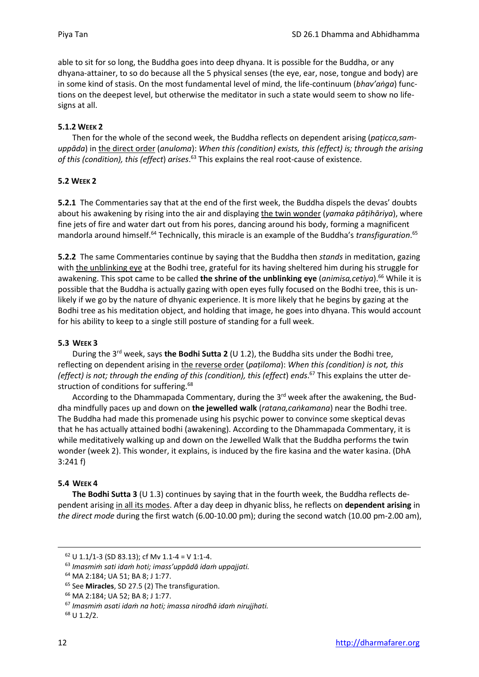able to sit for so long, the Buddha goes into deep dhyana. It is possible for the Buddha, or any dhyana-attainer, to so do because all the 5 physical senses (the eye, ear, nose, tongue and body) are in some kind of stasis. On the most fundamental level of mind, the life-continuum (*bhav'aṅga*) functions on the deepest level, but otherwise the meditator in such a state would seem to show no lifesigns at all.

#### **5.1.2 WEEK 2**

Then for the whole of the second week, the Buddha reflects on dependent arising (*paṭicca,samuppāda*) in the direct order (*anuloma*): *When this (condition) exists, this (effect) is; through the arising*  of this (condition), this (effect) arises.<sup>63</sup> This explains the real root-cause of existence.

#### **5.2 WEEK 2**

**5.2.1** The Commentaries say that at the end of the first week, the Buddha dispels the devas' doubts about his awakening by rising into the air and displaying the twin wonder (*yamaka pāṭihāriya*), where fine jets of fire and water dart out from his pores, dancing around his body, forming a magnificent mandorla around himself.<sup>64</sup> Technically, this miracle is an example of the Buddha's *transfiguration*. 65

**5.2.2** The same Commentaries continue by saying that the Buddha then *stands* in meditation, gazing with the unblinking eye at the Bodhi tree, grateful for its having sheltered him during his struggle for awakening. This spot came to be called **the shrine of the unblinking eye** (*animisa,cetiya*).<sup>66</sup> While it is possible that the Buddha is actually gazing with open eyes fully focused on the Bodhi tree, this is unlikely if we go by the nature of dhyanic experience. It is more likely that he begins by gazing at the Bodhi tree as his meditation object, and holding that image, he goes into dhyana. This would account for his ability to keep to a single still posture of standing for a full week.

#### **5.3 WEEK 3**

During the 3<sup>rd</sup> week, says the Bodhi Sutta 2 (U 1.2), the Buddha sits under the Bodhi tree, reflecting on dependent arising in the reverse order (*paṭiloma*): *When this (condition) is not, this (effect) is not; through the ending of this (condition), this (effect*) *ends*. <sup>67</sup> This explains the utter destruction of conditions for suffering.<sup>68</sup>

According to the Dhammapada Commentary, during the 3<sup>rd</sup> week after the awakening, the Buddha mindfully paces up and down on **the jewelled walk** (*ratana,caṅkamana*) near the Bodhi tree. The Buddha had made this promenade using his psychic power to convince some skeptical devas that he has actually attained bodhi (awakening). According to the Dhammapada Commentary, it is while meditatively walking up and down on the Jewelled Walk that the Buddha performs the twin wonder (week 2). This wonder, it explains, is induced by the fire kasina and the water kasina. (DhA 3:241 f)

#### **5.4 WEEK 4**

**The Bodhi Sutta 3** (U 1.3) continues by saying that in the fourth week, the Buddha reflects dependent arising in all its modes. After a day deep in dhyanic bliss, he reflects on **dependent arising** in *the direct mode* during the first watch (6.00-10.00 pm); during the second watch (10.00 pm-2.00 am),

 $62$  U 1.1/1-3 (SD 83.13); cf Mv 1.1-4 = V 1:1-4.

<sup>63</sup> *Imasmiṁ sati idaṁ hoti; imass'uppādā idaṁ uppajjati.*

<sup>64</sup> MA 2:184; UA 51; BA 8; J 1:77.

<sup>65</sup> See **Miracles**, SD 27.5 (2) The transfiguration.

<sup>66</sup> MA 2:184; UA 52; BA 8; J 1:77.

<sup>67</sup> *Imasmiṁ asati idaṁ na hoti; imassa nirodhā idaṁ nirujjhati.*

 $68 \cup 1.2/2$ .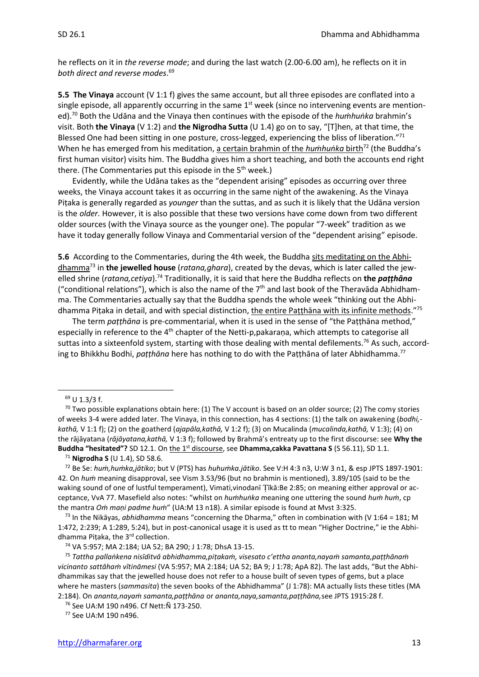he reflects on it in *the reverse mode*; and during the last watch (2.00-6.00 am), he reflects on it in *both direct and reverse modes*. 69

**5.5 The Vinaya** account (V 1:1 f) gives the same account, but all three episodes are conflated into a single episode, all apparently occurring in the same 1<sup>st</sup> week (since no intervening events are mentioned). <sup>70</sup> Both the Udāna and the Vinaya then continues with the episode of the *huṁhuṅka* brahmin's visit. Both **the Vinaya** (V 1:2) and **the Nigrodha Sutta** (U 1.4) go on to say, "[T]hen, at that time, the Blessed One had been sitting in one posture, cross-legged, experiencing the bliss of liberation."<sup>71</sup> When he has emerged from his meditation, a certain brahmin of the *huṁhuṅka* birth<sup>72</sup> (the Buddha's first human visitor) visits him. The Buddha gives him a short teaching, and both the accounts end right there. (The Commentaries put this episode in the  $5<sup>th</sup>$  week.)

Evidently, while the Udāna takes as the "dependent arising" episodes as occurring over three weeks, the Vinaya account takes it as occurring in the same night of the awakening. As the Vinaya Piṭaka is generally regarded as *younger* than the suttas, and as such it is likely that the Udāna version is the *older*. However, it is also possible that these two versions have come down from two different older sources (with the Vinaya source as the younger one). The popular "7-week" tradition as we have it today generally follow Vinaya and Commentarial version of the "dependent arising" episode.

**5.6** According to the Commentaries, during the 4th week, the Buddha sits meditating on the Abhidhamma<sup>73</sup> in **the jewelled house** (*ratana,ghara*), created by the devas, which is later called the jewelled shrine (*ratana,cetiya*). <sup>74</sup> Traditionally, it is said that here the Buddha reflects on **the** *paṭṭhāna* ("conditional relations"), which is also the name of the  $7<sup>th</sup>$  and last book of the Theravāda Abhidhamma. The Commentaries actually say that the Buddha spends the whole week "thinking out the Abhidhamma Piṭaka in detail, and with special distinction, the entire Paṭṭhāna with its infinite methods."<sup>75</sup>

The term *paṭṭhāna* is pre-commentarial, when it is used in the sense of "the Paṭṭhāna method," especially in reference to the 4<sup>th</sup> chapter of the Netti-p,pakaraṇa, which attempts to categorise all suttas into a sixteenfold system, starting with those dealing with mental defilements.<sup>76</sup> As such, according to Bhikkhu Bodhi, *paṭṭhāna* here has nothing to do with the Paṭṭhāna of later Abhidhamma.<sup>77</sup>

<sup>71</sup> **Nigrodha S** (U 1.4), SD 58.6.

 $69$  U 1.3/3 f.

<sup>&</sup>lt;sup>70</sup> Two possible explanations obtain here: (1) The V account is based on an older source; (2) The comy stories of weeks 3-4 were added later. The Vinaya, in this connection, has 4 sections: (1) the talk on awakening (*bodhi, kathā,* V 1:1 f); (2) on the goatherd (*ajapāla,kathā,* V 1:2 f); (3) on Mucalinda (*mucalinda,kathā,* V 1:3); (4) on the rājāyatana (*rājāyatana,kathā,* V 1:3 f); followed by Brahmā's entreaty up to the first discourse: see **Why the Buddha "hesitated"?** SD 12.1. On the 1<sup>st</sup> discourse, see **Dhamma,cakka Pavattana S** (S 56.11), SD 1.1.

<sup>72</sup> Be Se: *huṁ,huṁka,jātiko*; but V (PTS) has *huhuṁka.jātiko*. See V:H 4:3 n3, U:W 3 n1, & esp JPTS 1897-1901: 42. On *huṁ* meaning disapproval, see Vism 3.53/96 (but no brahmin is mentioned), 3.89/105 (said to be the waking sound of one of lustful temperament), Vimati, vinodanī Tīkā:Be 2:85; on meaning either approval or acceptance, VvA 77. Masefield also notes: "whilst on *huṁhuṅka* meaning one uttering the sound *huṁ huṁ*, cp the mantra *Oṁ maṇi padme huṁ*" (UA:M 13 n18). A similar episode is found at Mvst 3:325.

<sup>73</sup> In the Nikāyas, *abhidhamma* means "concerning the Dharma," often in combination with (V 1:64 = 181; M 1:472, 2:239; A 1:289, 5:24), but in post-canonical usage it is used as tt to mean "Higher Doctrine," ie the Abhidhamma Piṭaka, the 3rd collection.

<sup>74</sup> VA 5:957; MA 2:184; UA 52; BA 290; J 1:78; DhsA 13-15.

<sup>75</sup> *Tattha pallaṅkena nisīditvā abhidhamma,piṭakaṁ, visesato c'ettha ananta,nayaṁ samanta,paṭṭhānaṁ vicinanto sattāhaṁ vītināmesi* (VA 5:957; MA 2:184; UA 52; BA 9; J 1:78; ApA 82). The last adds, "But the Abhidhammikas say that the jewelled house does not refer to a house built of seven types of gems, but a place where he masters (*sammasita*) the seven books of the Abhidhamma" (J 1:78): MA actually lists these titles (MA 2:184). On *ananta,nayaṁ samanta,paṭṭhāna* or *ananta,naya,samanta,paṭṭhāna,*see JPTS 1915:28 f.

<sup>76</sup> See UA:M 190 n496. Cf Nett:Ñ 173-250.

<sup>77</sup> See UA:M 190 n496.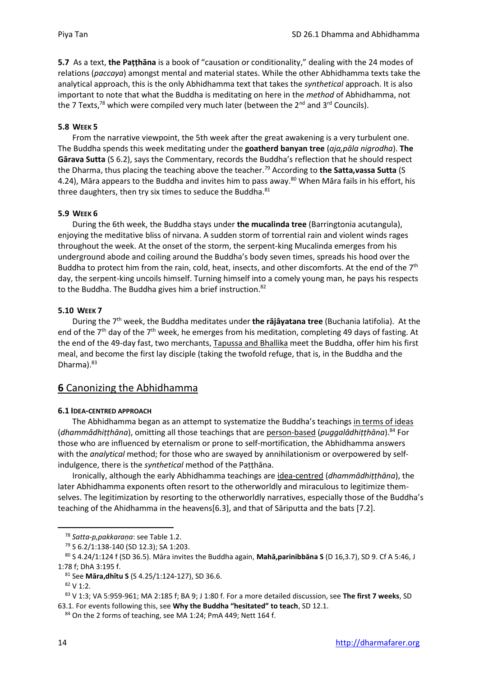**5.7** As a text, **the Paṭṭhāna** is a book of "causation or conditionality," dealing with the 24 modes of relations (*paccaya*) amongst mental and material states. While the other Abhidhamma texts take the analytical approach, this is the only Abhidhamma text that takes the *synthetical* approach. It is also important to note that what the Buddha is meditating on here in the *method* of Abhidhamma, not the 7 Texts,<sup>78</sup> which were compiled very much later (between the  $2<sup>nd</sup>$  and  $3<sup>rd</sup>$  Councils).

#### **5.8 WEEK 5**

From the narrative viewpoint, the 5th week after the great awakening is a very turbulent one. The Buddha spends this week meditating under the **goatherd banyan tree** (*aja,pāla nigrodha*). **The Gārava Sutta** (S 6.2), says the Commentary, records the Buddha's reflection that he should respect the Dharma, thus placing the teaching above the teacher.<sup>79</sup> According to **the Satta,vassa Sutta** (S 4.24), Māra appears to the Buddha and invites him to pass away.<sup>80</sup> When Māra fails in his effort, his three daughters, then try six times to seduce the Buddha.<sup>81</sup>

#### **5.9 WEEK 6**

During the 6th week, the Buddha stays under **the mucalinda tree** (Barringtonia acutangula), enjoying the meditative bliss of nirvana. A sudden storm of torrential rain and violent winds rages throughout the week. At the onset of the storm, the serpent-king Mucalinda emerges from his underground abode and coiling around the Buddha's body seven times, spreads his hood over the Buddha to protect him from the rain, cold, heat, insects, and other discomforts. At the end of the  $7<sup>th</sup>$ day, the serpent-king uncoils himself. Turning himself into a comely young man, he pays his respects to the Buddha. The Buddha gives him a brief instruction.<sup>82</sup>

#### **5.10 WEEK 7**

During the 7th week, the Buddha meditates under **the rājâyatana tree** (Buchania latifolia). At the end of the 7<sup>th</sup> day of the 7<sup>th</sup> week, he emerges from his meditation, completing 49 days of fasting. At the end of the 49-day fast, two merchants, Tapussa and Bhallika meet the Buddha, offer him his first meal, and become the first lay disciple (taking the twofold refuge, that is, in the Buddha and the Dharma).<sup>83</sup>

## **6** Canonizing the Abhidhamma

#### **6.1 IDEA-CENTRED APPROACH**

The Abhidhamma began as an attempt to systematize the Buddha's teachings in terms of ideas (*dhammâdhiṭṭhāna*), omitting all those teachings that are person-based (*puggalâdhiṭṭhāna*).<sup>84</sup> For those who are influenced by eternalism or prone to self-mortification, the Abhidhamma answers with the *analytical* method; for those who are swayed by annihilationism or overpowered by selfindulgence, there is the *synthetical* method of the Paṭṭhāna.

Ironically, although the early Abhidhamma teachings are idea-centred (*dhammâdhiṭṭhāna*), the later Abhidhamma exponents often resort to the otherworldly and miraculous to legitimize themselves. The legitimization by resorting to the otherworldly narratives, especially those of the Buddha's teaching of the Ahidhamma in the heavens[6.3], and that of Sāriputta and the bats [7.2].

<sup>78</sup> *Satta-p,pakkaraṇa*: see Table 1.2.

<sup>79</sup> S 6.2/1:138-140 (SD 12.3); SA 1:203.

<sup>80</sup> S 4.24/1:124 f (SD 36.5). Māra invites the Buddha again, **Mahā,parinibbāna S** (D 16,3.7), SD 9. Cf A 5:46, J 1:78 f; DhA 3:195 f.

<sup>81</sup> See **Māra,dhītu S** (S 4.25/1:124-127), SD 36.6.

<sup>82</sup> V 1:2.

<sup>83</sup> V 1:3; VA 5:959-961; MA 2:185 f; BA 9; J 1:80 f. For a more detailed discussion, see **The first 7 weeks**, SD 63.1. For events following this, see **Why the Buddha "hesitated" to teach**, SD 12.1.

 $84$  On the 2 forms of teaching, see MA 1:24; PmA 449; Nett 164 f.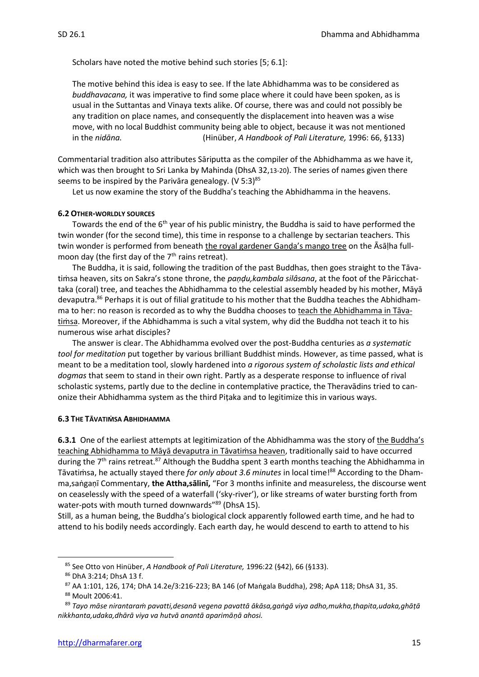Scholars have noted the motive behind such stories [5; 6.1]:

The motive behind this idea is easy to see. If the late Abhidhamma was to be considered as *buddhavacana,* it was imperative to find some place where it could have been spoken, as is usual in the Suttantas and Vinaya texts alike. Of course, there was and could not possibly be any tradition on place names, and consequently the displacement into heaven was a wise move, with no local Buddhist community being able to object, because it was not mentioned in the *nidāna.* (Hinüber, *A Handbook of Pali Literature,* 1996: 66, §133)

Commentarial tradition also attributes Sāriputta as the compiler of the Abhidhamma as we have it, which was then brought to Sri Lanka by Mahinda (DhsA 32,13-20). The series of names given there seems to be inspired by the Parivāra genealogy.  $(V 5:3)^{85}$ 

Let us now examine the story of the Buddha's teaching the Abhidhamma in the heavens.

#### **6.2 OTHER-WORLDLY SOURCES**

Towards the end of the 6<sup>th</sup> year of his public ministry, the Buddha is said to have performed the twin wonder (for the second time), this time in response to a challenge by sectarian teachers. This twin wonder is performed from beneath the royal gardener Gaṇḍa's mango tree on the Āsāḷha fullmoon day (the first day of the  $7<sup>th</sup>$  rains retreat).

The Buddha, it is said, following the tradition of the past Buddhas, then goes straight to the Tāvatimsa heaven, sits on Sakra's stone throne, the *pandu, kambala silâsana*, at the foot of the Pāricchattaka (coral) tree, and teaches the Abhidhamma to the celestial assembly headed by his mother, Māyā devaputra.<sup>86</sup> Perhaps it is out of filial gratitude to his mother that the Buddha teaches the Abhidhamma to her: no reason is recorded as to why the Buddha chooses to teach the Abhidhamma in Tāvatiṁsa. Moreover, if the Abhidhamma is such a vital system, why did the Buddha not teach it to his numerous wise arhat disciples?

The answer is clear. The Abhidhamma evolved over the post-Buddha centuries as *a systematic tool for meditation* put together by various brilliant Buddhist minds. However, as time passed, what is meant to be a meditation tool, slowly hardened into *a rigorous system of scholastic lists and ethical dogmas* that seem to stand in their own right. Partly as a desperate response to influence of rival scholastic systems, partly due to the decline in contemplative practice, the Theravādins tried to canonize their Abhidhamma system as the third Piṭaka and to legitimize this in various ways.

#### **6.3 THE TĀVATIṀSA ABHIDHAMMA**

**6.3.1** One of the earliest attempts at legitimization of the Abhidhamma was the story of the Buddha's teaching Abhidhamma to Māyā devaputra in Tāvatiṁsa heaven, traditionally said to have occurred during the  $7<sup>th</sup>$  rains retreat.<sup>87</sup> Although the Buddha spent 3 earth months teaching the Abhidhamma in Tāvatiṁsa, he actually stayed there *for only about 3.6 minutes* in local time!<sup>88</sup> According to the Dhamma,saṅgaṇī Commentary, **the Attha,sālinī,** "For 3 months infinite and measureless, the discourse went on ceaselessly with the speed of a waterfall ('sky-river'), or like streams of water bursting forth from water-pots with mouth turned downwards"<sup>89</sup> (DhsA 15).

Still, as a human being, the Buddha's biological clock apparently followed earth time, and he had to attend to his bodily needs accordingly. Each earth day, he would descend to earth to attend to his

<sup>85</sup> See Otto von Hinüber, *A Handbook of Pali Literature,* 1996:22 (§42), 66 (§133).

<sup>86</sup> DhA 3:214; DhsA 13 f.

<sup>87</sup> AA 1:101, 126, 174; DhA 14.2e/3:216-223; BA 146 (of Maṅgala Buddha), 298; ApA 118; DhsA 31, 35.

<sup>88</sup> Moult 2006:41.

<sup>89</sup> *Tayo māse nirantaraṁ pavatti,desanā vegena pavattā ākāsa,gaṅgā viya adho,mukha,ṭhapita,udaka,ghāṭā nikkhanta,udaka,dhārā viya va hutvā anantā aparimāṇā ahosi.*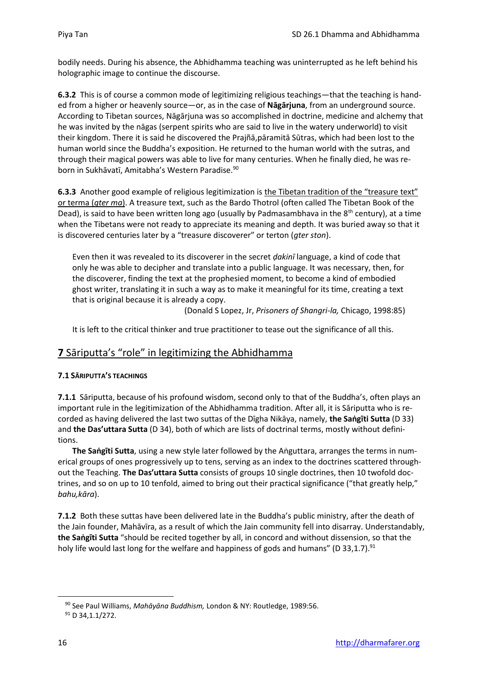bodily needs. During his absence, the Abhidhamma teaching was uninterrupted as he left behind his holographic image to continue the discourse.

**6.3.2** This is of course a common mode of legitimizing religious teachings—that the teaching is handed from a higher or heavenly source—or, as in the case of **Nāgārjuna**, from an underground source. According to Tibetan sources, Nāgārjuna was so accomplished in doctrine, medicine and alchemy that he was invited by the nāgas (serpent spirits who are said to live in the watery underworld) to visit their kingdom. There it is said he discovered the Prajñā,pāramitā Sūtras, which had been lost to the human world since the Buddha's exposition. He returned to the human world with the sutras, and through their magical powers was able to live for many centuries. When he finally died, he was reborn in Sukhāvatī, Amitabha's Western Paradise.<sup>90</sup>

**6.3.3** Another good example of religious legitimization is the Tibetan tradition of the "treasure text" or terma (*gter ma*). A treasure text, such as the Bardo Thotrol (often called The Tibetan Book of the Dead), is said to have been written long ago (usually by Padmasambhava in the  $8<sup>th</sup>$  century), at a time when the Tibetans were not ready to appreciate its meaning and depth. It was buried away so that it is discovered centuries later by a "treasure discoverer" or terton (*gter ston*).

Even then it was revealed to its discoverer in the secret *ḍakinī* language, a kind of code that only he was able to decipher and translate into a public language. It was necessary, then, for the discoverer, finding the text at the prophesied moment, to become a kind of embodied ghost writer, translating it in such a way as to make it meaningful for its time, creating a text that is original because it is already a copy.

(Donald S Lopez, Jr, *Prisoners of Shangri-la,* Chicago, 1998:85)

It is left to the critical thinker and true practitioner to tease out the significance of all this.

## **7** Sāriputta's "role" in legitimizing the Abhidhamma

#### **7.1 SĀRIPUTTA'S TEACHINGS**

**7.1.1** Sāriputta, because of his profound wisdom, second only to that of the Buddha's, often plays an important rule in the legitimization of the Abhidhamma tradition. After all, it is Sāriputta who is recorded as having delivered the last two suttas of the Dīgha Nikāya, namely, **the Saṅgīti Sutta** (D 33) and **the Das'uttara Sutta** (D 34), both of which are lists of doctrinal terms, mostly without definitions.

**The Saṅgīti Sutta**, using a new style later followed by the Aṅguttara, arranges the terms in numerical groups of ones progressively up to tens, serving as an index to the doctrines scattered throughout the Teaching. **The Das'uttara Sutta** consists of groups 10 single doctrines, then 10 twofold doctrines, and so on up to 10 tenfold, aimed to bring out their practical significance ("that greatly help," *bahu,kāra*).

**7.1.2** Both these suttas have been delivered late in the Buddha's public ministry, after the death of the Jain founder, Mahāvīra, as a result of which the Jain community fell into disarray. Understandably, **the Saṅgīti Sutta** "should be recited together by all, in concord and without dissension, so that the holy life would last long for the welfare and happiness of gods and humans" (D 33,1.7).<sup>91</sup>

<sup>90</sup> See Paul Williams, *Mahāyāna Buddhism,* London & NY: Routledge, 1989:56.

<sup>91</sup> D 34,1.1/272.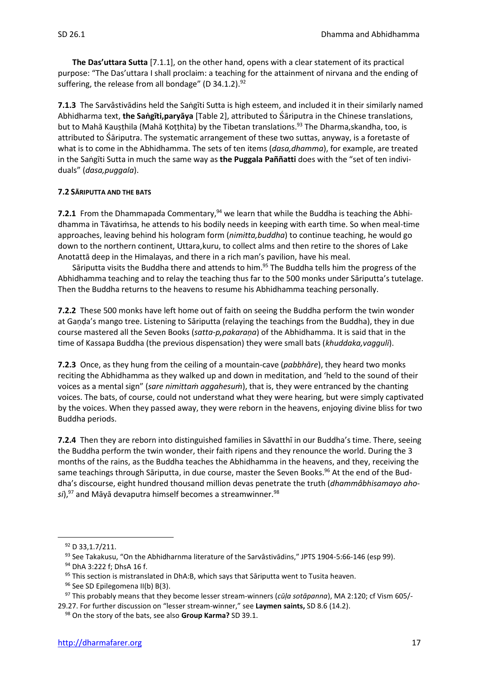**The Das'uttara Sutta** [7.1.1], on the other hand, opens with a clear statement of its practical purpose: "The Das'uttara I shall proclaim: a teaching for the attainment of nirvana and the ending of suffering, the release from all bondage" ( $D$  34.1.2).<sup>92</sup>

**7.1.3** The Sarvâstivādins held the Saṅgīti Sutta is high esteem, and included it in their similarly named Abhidharma text, **the Saṅgīti,paryāya** [Table 2], attributed to āriputra in the Chinese translations, but to Mahā Kauṣṭhila (Mahā Koṭṭhita) by the Tibetan translations.<sup>93</sup> The Dharma,skandha, too, is attributed to āriputra. The systematic arrangement of these two suttas, anyway, is a foretaste of what is to come in the Abhidhamma. The sets of ten items (*dasa,dhamma*), for example, are treated in the Saṅgīti Sutta in much the same way as **the Puggala Paññatti** does with the "set of ten individuals" (*dasa,puggala*).

#### **7.2 SĀRIPUTTA AND THE BATS**

**7.2.1** From the Dhammapada Commentary,<sup>94</sup> we learn that while the Buddha is teaching the Abhidhamma in Tāvatiṁsa, he attends to his bodily needs in keeping with earth time. So when meal-time approaches, leaving behind his hologram form (*nimitta,buddha*) to continue teaching, he would go down to the northern continent, Uttara,kuru, to collect alms and then retire to the shores of Lake Anotattā deep in the Himalayas, and there in a rich man's pavilion, have his meal.

Sāriputta visits the Buddha there and attends to him.<sup>95</sup> The Buddha tells him the progress of the Abhidhamma teaching and to relay the teaching thus far to the 500 monks under Sāriputta's tutelage. Then the Buddha returns to the heavens to resume his Abhidhamma teaching personally.

**7.2.2** These 500 monks have left home out of faith on seeing the Buddha perform the twin wonder at Gaṇḍa's mango tree. Listening to Sāriputta (relaying the teachings from the Buddha), they in due course mastered all the Seven Books (*satta-p,pakaraṇa*) of the Abhidhamma. It is said that in the time of Kassapa Buddha (the previous dispensation) they were small bats (*khuddaka,vagguli*).

**7.2.3** Once, as they hung from the ceiling of a mountain-cave (*pabbhāre*), they heard two monks reciting the Abhidhamma as they walked up and down in meditation, and 'held to the sound of their voices as a mental sign" (*sare nimittaṁ aggahesuṁ*), that is, they were entranced by the chanting voices. The bats, of course, could not understand what they were hearing, but were simply captivated by the voices. When they passed away, they were reborn in the heavens, enjoying divine bliss for two Buddha periods.

**7.2.4** Then they are reborn into distinguished families in Sāvatthī in our Buddha's time. There, seeing the Buddha perform the twin wonder, their faith ripens and they renounce the world. During the 3 months of the rains, as the Buddha teaches the Abhidhamma in the heavens, and they, receiving the same teachings through Sāriputta, in due course, master the Seven Books.<sup>96</sup> At the end of the Buddha's discourse, eight hundred thousand million devas penetrate the truth (*dhammâbhisamayo aho*si),<sup>97</sup> and Māyā devaputra himself becomes a streamwinner.<sup>98</sup>

<sup>92</sup> D 33, 1.7/211.

<sup>93</sup> See Takakusu, "On the Abhidharnma literature of the Sarvâstivādins," JPTS 1904-5:66-146 (esp 99).

<sup>94</sup> DhA 3:222 f; DhsA 16 f.

 $95$  This section is mistranslated in DhA:B, which says that Sāriputta went to Tusita heaven.

<sup>96</sup> See SD Epilegomena II(b) B(3).

<sup>97</sup> This probably means that they become lesser stream-winners (*cūḷa sotāpanna*), MA 2:120; cf Vism 605/- 29.27. For further discussion on "lesser stream-winner," see **Laymen saints,** SD 8.6 (14.2).

<sup>98</sup> On the story of the bats, see also **Group Karma?** SD 39.1.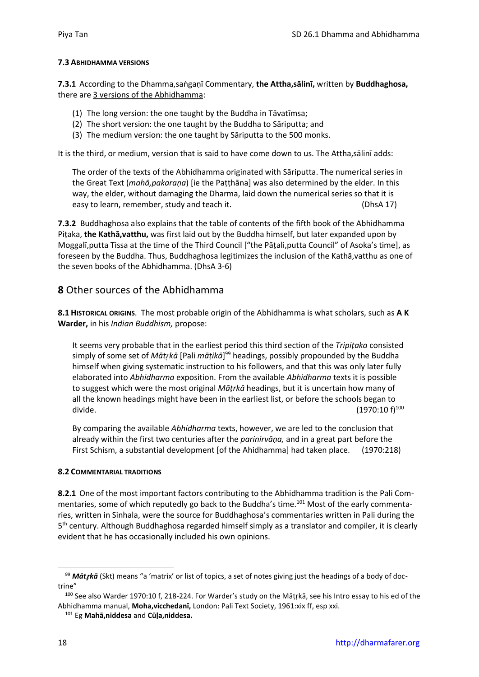#### **7.3 ABHIDHAMMA VERSIONS**

**7.3.1** According to the Dhamma,saṅgaṇī Commentary, **the Attha,sālinī,** written by **Buddhaghosa,**  there are 3 versions of the Abhidhamma:

- (1) The long version: the one taught by the Buddha in Tāvatīmsa;
- (2) The short version: the one taught by the Buddha to Sāriputta; and
- (3) The medium version: the one taught by Sāriputta to the 500 monks.

It is the third, or medium, version that is said to have come down to us. The Attha,salinī adds:

The order of the texts of the Abhidhamma originated with Sāriputta. The numerical series in the Great Text (*mahā,pakaraṇa*) [ie the Paṭṭhāna] was also determined by the elder. In this way, the elder, without damaging the Dharma, laid down the numerical series so that it is easy to learn, remember, study and teach it. (DhsA 17)

**7.3.2** Buddhaghosa also explains that the table of contents of the fifth book of the Abhidhamma Piṭaka, **the Kathā,vatthu,** was first laid out by the Buddha himself, but later expanded upon by Moggalī,putta Tissa at the time of the Third Council ["the Pāṭali,putta Council" of Asoka's time], as foreseen by the Buddha. Thus, Buddhaghosa legitimizes the inclusion of the Kathā,vatthu as one of the seven books of the Abhidhamma. (DhsA 3-6)

#### **8** Other sources of the Abhidhamma

**8.1 HISTORICAL ORIGINS**. The most probable origin of the Abhidhamma is what scholars, such as **A K Warder,** in his *Indian Buddhism,* propose:

It seems very probable that in the earliest period this third section of the *Tripiṭaka* consisted simply of some set of *Mātkā* [Pali *māṭikā*] <sup>99</sup> headings, possibly propounded by the Buddha himself when giving systematic instruction to his followers, and that this was only later fully elaborated into *Abhidharma* exposition. From the available *Abhidharma* texts it is possible to suggest which were the most original *Māṭrkā* headings, but it is uncertain how many of all the known headings might have been in the earliest list, or before the schools began to divide.  $(1970:10 \text{ f})^{100}$ 

By comparing the available *Abhidharma* texts, however, we are led to the conclusion that already within the first two centuries after the *parinirvāṇa,* and in a great part before the First Schism, a substantial development [of the Ahidhamma] had taken place. (1970:218)

#### **8.2 COMMENTARIAL TRADITIONS**

**8.2.1** One of the most important factors contributing to the Abhidhamma tradition is the Pali Commentaries, some of which reputedly go back to the Buddha's time.<sup>101</sup> Most of the early commentaries, written in Sinhala, were the source for Buddhaghosa's commentaries written in Pali during the 5<sup>th</sup> century. Although Buddhaghosa regarded himself simply as a translator and compiler, it is clearly evident that he has occasionally included his own opinions.

<sup>99</sup> *Mātkā* (Skt) means "a 'matrix' or list of topics, a set of notes giving just the headings of a body of doctrine"

<sup>100</sup> See also Warder 1970:10 f, 218-224. For Warder's study on the Māṭṛkā, see his Intro essay to his ed of the Abhidhamma manual, **Moha,vicchedanī,** London: Pali Text Society, 1961:xix ff, esp xxi.

<sup>101</sup> Eg **Mahā,niddesa** and **Cūḷa,niddesa.**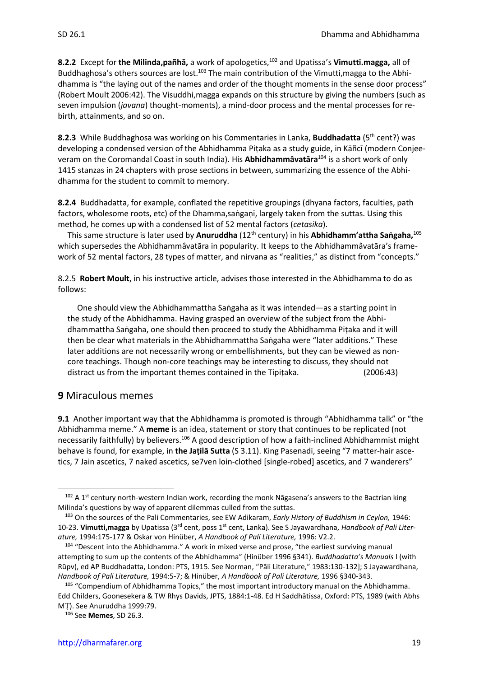**8.2.2** Except for **the Milinda,pañhā,** a work of apologetics,<sup>102</sup> and Upatissa's **Vimutti.magga,** all of Buddhaghosa's others sources are lost.<sup>103</sup> The main contribution of the Vimutti, magga to the Abhidhamma is "the laying out of the names and order of the thought moments in the sense door process" (Robert Moult 2006:42). The Visuddhi,magga expands on this structure by giving the numbers (such as seven impulsion (*javana*) thought-moments), a mind-door process and the mental processes for rebirth, attainments, and so on.

**8.2.3** While Buddhaghosa was working on his Commentaries in Lanka, **Buddhadatta** (5th cent?) was developing a condensed version of the Abhidhamma Piṭaka as a study guide, in Kāñcī (modern Conjeeveram on the Coromandal Coast in south India). His **Abhidhammâvatāra**<sup>104</sup> is a short work of only 1415 stanzas in 24 chapters with prose sections in between, summarizing the essence of the Abhidhamma for the student to commit to memory.

**8.2.4** Buddhadatta, for example, conflated the repetitive groupings (dhyana factors, faculties, path factors, wholesome roots, etc) of the Dhamma,saṅgaṇī, largely taken from the suttas. Using this method, he comes up with a condensed list of 52 mental factors (*cetasika*).

This same structure is later used by **Anuruddha** (12th century) in his **Abhidhamm'attha Saṅgaha,**<sup>105</sup> which supersedes the Abhidhammâvatāra in popularity. It keeps to the Abhidhammâvatāra's framework of 52 mental factors, 28 types of matter, and nirvana as "realities," as distinct from "concepts."

8.2.5 **Robert Moult**, in his instructive article, advises those interested in the Abhidhamma to do as follows:

One should view the Abhidhammattha Saṅgaha as it was intended—as a starting point in the study of the Abhidhamma. Having grasped an overview of the subject from the Abhidhammattha Saṅgaha, one should then proceed to study the Abhidhamma Piṭaka and it will then be clear what materials in the Abhidhammattha Saṅgaha were "later additions." These later additions are not necessarily wrong or embellishments, but they can be viewed as noncore teachings. Though non-core teachings may be interesting to discuss, they should not distract us from the important themes contained in the Tipiṭaka. (2006:43)

#### **9** Miraculous memes

**9.1** Another important way that the Abhidhamma is promoted is through "Abhidhamma talk" or "the Abhidhamma meme." A **meme** is an idea, statement or story that continues to be replicated (not necessarily faithfully) by believers.<sup>106</sup> A good description of how a faith-inclined Abhidhammist might behave is found, for example, in **the Jaṭilā Sutta** (S 3.11). King Pasenadi, seeing "7 matter-hair ascetics, 7 Jain ascetics, 7 naked ascetics, se7ven loin-clothed [single-robed] ascetics, and 7 wanderers"

 $102$  A 1<sup>st</sup> century north-western Indian work, recording the monk Nāgasena's answers to the Bactrian king Milinda's questions by way of apparent dilemmas culled from the suttas.

<sup>103</sup> On the sources of the Pali Commentaries, see EW Adikaram, *Early History of Buddhism in Ceylon,* 1946: 10-23. **Vimutti,magga** by Upatissa (3rd cent, poss 1st cent, Lanka). See S Jayawardhana, *Handbook of Pali Literature,* 1994:175-177 & Oskar von Hinüber, *A Handbook of Pali Literature,* 1996: V2.2.

<sup>104</sup> "Descent into the Abhidhamma." A work in mixed verse and prose, "the earliest surviving manual attempting to sum up the contents of the Abhidhamma" (Hinüber 1996 §341). *Buddhadatta's Manuals* I (with Rūpv), ed AP Buddhadatta, London: PTS, 1915. See Norman, "Pāli Literature," 1983:130-132]; S Jayawardhana, *Handbook of Pali Literature,* 1994:5-7; & Hinüber, *A Handbook of Pali Literature,* 1996 §340-343.

<sup>105 &</sup>quot;Compendium of Abhidhamma Topics," the most important introductory manual on the Abhidhamma. Edd Childers, Goonesekera & TW Rhys Davids, JPTS, 1884:1-48. Ed H Saddhātissa, Oxford: PTS, 1989 (with Abhs MT). See Anuruddha 1999:79.

<sup>106</sup> See **Memes**, SD 26.3.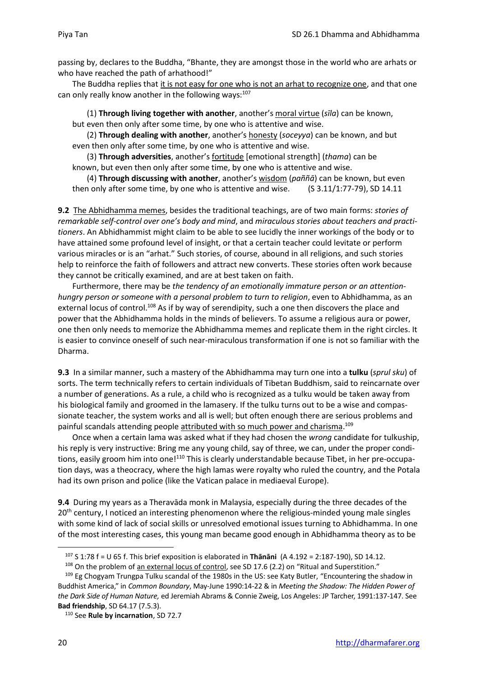passing by, declares to the Buddha, "Bhante, they are amongst those in the world who are arhats or who have reached the path of arhathood!"

The Buddha replies that it is not easy for one who is not an arhat to recognize one, and that one can only really know another in the following ways: $107$ 

(1) **Through living together with another**, another's moral virtue (*sīla*) can be known, but even then only after some time, by one who is attentive and wise.

(2) **Through dealing with another**, another's honesty (*soceyya*) can be known, and but even then only after some time, by one who is attentive and wise.

(3) **Through adversities**, another's fortitude [emotional strength] (*thama*) can be known, but even then only after some time, by one who is attentive and wise.

(4) **Through discussing with another**, another's wisdom (*paññā*) can be known, but even then only after some time, by one who is attentive and wise. (S 3.11/1:77-79), SD 14.11

**9.2** The Abhidhamma memes, besides the traditional teachings, are of two main forms: *stories of remarkable self-control over one's body and mind*, and *miraculous stories about teachers and practitioners*. An Abhidhammist might claim to be able to see lucidly the inner workings of the body or to have attained some profound level of insight, or that a certain teacher could levitate or perform various miracles or is an "arhat." Such stories, of course, abound in all religions, and such stories help to reinforce the faith of followers and attract new converts. These stories often work because they cannot be critically examined, and are at best taken on faith.

Furthermore, there may be *the tendency of an emotionally immature person or an attentionhungry person or someone with a personal problem to turn to religion*, even to Abhidhamma, as an external locus of control.<sup>108</sup> As if by way of serendipity, such a one then discovers the place and power that the Abhidhamma holds in the minds of believers. To assume a religious aura or power, one then only needs to memorize the Abhidhamma memes and replicate them in the right circles. It is easier to convince oneself of such near-miraculous transformation if one is not so familiar with the Dharma.

**9.3** In a similar manner, such a mastery of the Abhidhamma may turn one into a **tulku** (*sprul sku*) of sorts. The term technically refers to certain individuals of Tibetan Buddhism, said to reincarnate over a number of generations. As a rule, a child who is recognized as a tulku would be taken away from his biological family and groomed in the lamasery. If the tulku turns out to be a wise and compassionate teacher, the system works and all is well; but often enough there are serious problems and painful scandals attending people attributed with so much power and charisma.<sup>109</sup>

Once when a certain lama was asked what if they had chosen the *wrong* candidate for tulkuship, his reply is very instructive: Bring me any young child, say of three, we can, under the proper conditions, easily groom him into one!<sup>110</sup> This is clearly understandable because Tibet, in her pre-occupation days, was a theocracy, where the high lamas were royalty who ruled the country, and the Potala had its own prison and police (like the Vatican palace in mediaeval Europe).

**9.4** During my years as a Theravāda monk in Malaysia, especially during the three decades of the 20<sup>th</sup> century, I noticed an interesting phenomenon where the religious-minded young male singles with some kind of lack of social skills or unresolved emotional issues turning to Abhidhamma. In one of the most interesting cases, this young man became good enough in Abhidhamma theory as to be

<sup>107</sup> S 1:78 f = U 65 f. This brief exposition is elaborated in **Thānāni** (A 4.192 = 2:187-190), SD 14.12.

<sup>&</sup>lt;sup>108</sup> On the problem of an external locus of control, see SD 17.6 (2.2) on "Ritual and Superstition."

<sup>109</sup> Eg Chogyam Trungpa Tulku scandal of the 1980s in the US: see Katy Butler, "Encountering the shadow in Buddhist America," in *Common Boundary*, May-June 1990:14-22 & in *Meeting the Shadow: The Hidden Power of the Dark Side of Human Nature,* ed Jeremiah Abrams & Connie Zweig, Los Angeles: JP Tarcher, 1991:137-147. See **Bad friendship**, SD 64.17 (7.5.3).

<sup>110</sup> See **Rule by incarnation**, SD 72.7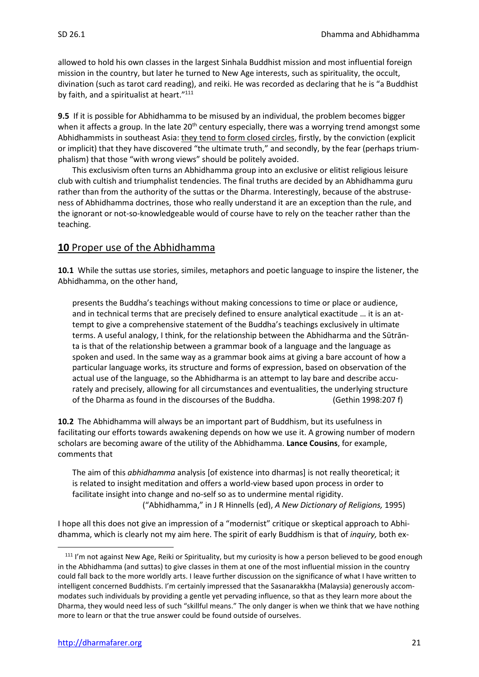allowed to hold his own classes in the largest Sinhala Buddhist mission and most influential foreign mission in the country, but later he turned to New Age interests, such as spirituality, the occult, divination (such as tarot card reading), and reiki. He was recorded as declaring that he is "a Buddhist by faith, and a spiritualist at heart."<sup>111</sup>

**9.5** If it is possible for Abhidhamma to be misused by an individual, the problem becomes bigger when it affects a group. In the late 20<sup>th</sup> century especially, there was a worrying trend amongst some Abhidhammists in southeast Asia: they tend to form closed circles, firstly, by the conviction (explicit or implicit) that they have discovered "the ultimate truth," and secondly, by the fear (perhaps triumphalism) that those "with wrong views" should be politely avoided.

This exclusivism often turns an Abhidhamma group into an exclusive or elitist religious leisure club with cultish and triumphalist tendencies. The final truths are decided by an Abhidhamma guru rather than from the authority of the suttas or the Dharma. Interestingly, because of the abstruseness of Abhidhamma doctrines, those who really understand it are an exception than the rule, and the ignorant or not-so-knowledgeable would of course have to rely on the teacher rather than the teaching.

## **10** Proper use of the Abhidhamma

**10.1** While the suttas use stories, similes, metaphors and poetic language to inspire the listener, the Abhidhamma, on the other hand,

presents the Buddha's teachings without making concessions to time or place or audience, and in technical terms that are precisely defined to ensure analytical exactitude … it is an attempt to give a comprehensive statement of the Buddha's teachings exclusively in ultimate terms. A useful analogy, I think, for the relationship between the Abhidharma and the Sūtrānta is that of the relationship between a grammar book of a language and the language as spoken and used. In the same way as a grammar book aims at giving a bare account of how a particular language works, its structure and forms of expression, based on observation of the actual use of the language, so the Abhidharma is an attempt to lay bare and describe accurately and precisely, allowing for all circumstances and eventualities, the underlying structure of the Dharma as found in the discourses of the Buddha. (Gethin 1998:207 f)

**10.2** The Abhidhamma will always be an important part of Buddhism, but its usefulness in facilitating our efforts towards awakening depends on how we use it. A growing number of modern scholars are becoming aware of the utility of the Abhidhamma. **Lance Cousins**, for example, comments that

The aim of this *abhidhamma* analysis [of existence into dharmas] is not really theoretical; it is related to insight meditation and offers a world-view based upon process in order to facilitate insight into change and no-self so as to undermine mental rigidity. ("Abhidhamma," in J R Hinnells (ed), *A New Dictionary of Religions,* 1995)

I hope all this does not give an impression of a "modernist" critique or skeptical approach to Abhidhamma, which is clearly not my aim here. The spirit of early Buddhism is that of *inquiry,* both ex-

<sup>&</sup>lt;sup>111</sup> I'm not against New Age, Reiki or Spirituality, but my curiosity is how a person believed to be good enough in the Abhidhamma (and suttas) to give classes in them at one of the most influential mission in the country could fall back to the more worldly arts. I leave further discussion on the significance of what I have written to intelligent concerned Buddhists. I'm certainly impressed that the Sasanarakkha (Malaysia) generously accommodates such individuals by providing a gentle yet pervading influence, so that as they learn more about the Dharma, they would need less of such "skillful means." The only danger is when we think that we have nothing more to learn or that the true answer could be found outside of ourselves.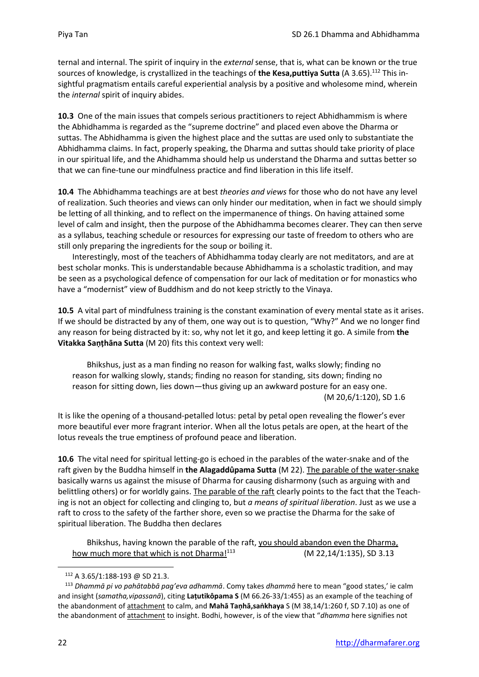ternal and internal. The spirit of inquiry in the *external* sense, that is, what can be known or the true sources of knowledge, is crystallized in the teachings of **the Kesa,puttiya Sutta** (A 3.65). <sup>112</sup> This insightful pragmatism entails careful experiential analysis by a positive and wholesome mind, wherein the *internal* spirit of inquiry abides.

**10.3** One of the main issues that compels serious practitioners to reject Abhidhammism is where the Abhidhamma is regarded as the "supreme doctrine" and placed even above the Dharma or suttas. The Abhidhamma is given the highest place and the suttas are used only to substantiate the Abhidhamma claims. In fact, properly speaking, the Dharma and suttas should take priority of place in our spiritual life, and the Ahidhamma should help us understand the Dharma and suttas better so that we can fine-tune our mindfulness practice and find liberation in this life itself.

**10.4** The Abhidhamma teachings are at best *theories and views* for those who do not have any level of realization. Such theories and views can only hinder our meditation, when in fact we should simply be letting of all thinking, and to reflect on the impermanence of things. On having attained some level of calm and insight, then the purpose of the Abhidhamma becomes clearer. They can then serve as a syllabus, teaching schedule or resources for expressing our taste of freedom to others who are still only preparing the ingredients for the soup or boiling it.

Interestingly, most of the teachers of Abhidhamma today clearly are not meditators, and are at best scholar monks. This is understandable because Abhidhamma is a scholastic tradition, and may be seen as a psychological defence of compensation for our lack of meditation or for monastics who have a "modernist" view of Buddhism and do not keep strictly to the Vinaya.

**10.5** A vital part of mindfulness training is the constant examination of every mental state as it arises. If we should be distracted by any of them, one way out is to question, "Why?" And we no longer find any reason for being distracted by it: so, why not let it go, and keep letting it go. A simile from **the Vitakka Saṇṭhāna Sutta** (M 20) fits this context very well:

Bhikshus, just as a man finding no reason for walking fast, walks slowly; finding no reason for walking slowly, stands; finding no reason for standing, sits down; finding no reason for sitting down, lies down—thus giving up an awkward posture for an easy one. (M 20,6/1:120), SD 1.6

It is like the opening of a thousand-petalled lotus: petal by petal open revealing the flower's ever more beautiful ever more fragrant interior. When all the lotus petals are open, at the heart of the lotus reveals the true emptiness of profound peace and liberation.

**10.6** The vital need for spiritual letting-go is echoed in the parables of the water-snake and of the raft given by the Buddha himself in **the Alagaddûpama Sutta** (M 22). The parable of the water-snake basically warns us against the misuse of Dharma for causing disharmony (such as arguing with and belittling others) or for worldly gains. The parable of the raft clearly points to the fact that the Teaching is not an object for collecting and clinging to, but *a means of spiritual liberation*. Just as we use a raft to cross to the safety of the farther shore, even so we practise the Dharma for the sake of spiritual liberation. The Buddha then declares

Bhikshus, having known the parable of the raft, you should abandon even the Dharma, how much more that which is not Dharma $1^{113}$  (M 22,14/1:135), SD 3.13

<sup>112</sup> A 3.65/1:188-193 @ SD 21.3.

<sup>113</sup> *Dhammā pi vo pahātabbā pag'eva adhammā*. Comy takes *dhammā* here to mean "good states,' ie calm and insight (*samatha,vipassanā*), citing **Laṭutikôpama S** (M 66.26-33/1:455) as an example of the teaching of the abandonment of attachment to calm, and **Mahā Taṇhā,saṅkhaya** S (M 38,14/1:260 f, SD 7.10) as one of the abandonment of attachment to insight. Bodhi, however, is of the view that "*dhamma* here signifies not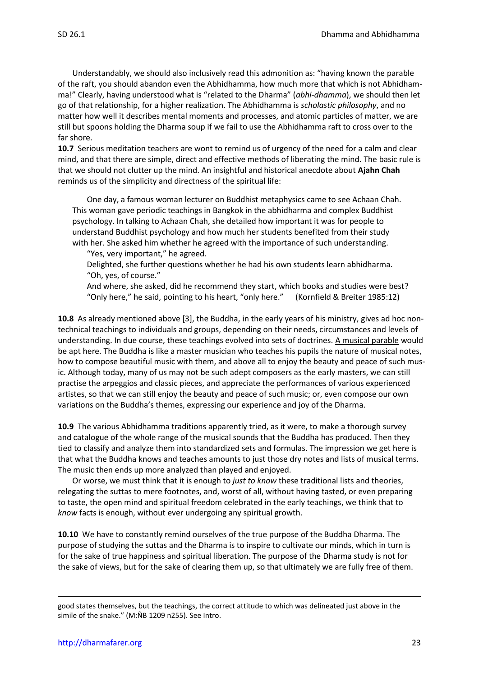Understandably, we should also inclusively read this admonition as: "having known the parable of the raft, you should abandon even the Abhidhamma, how much more that which is not Abhidhamma!" Clearly, having understood what is "related to the Dharma" (*abhi-dhamma*), we should then let go of that relationship, for a higher realization. The Abhidhamma is *scholastic philosophy*, and no matter how well it describes mental moments and processes, and atomic particles of matter, we are still but spoons holding the Dharma soup if we fail to use the Abhidhamma raft to cross over to the far shore.

**10.7** Serious meditation teachers are wont to remind us of urgency of the need for a calm and clear mind, and that there are simple, direct and effective methods of liberating the mind. The basic rule is that we should not clutter up the mind. An insightful and historical anecdote about **Ajahn Chah** reminds us of the simplicity and directness of the spiritual life:

One day, a famous woman lecturer on Buddhist metaphysics came to see Achaan Chah. This woman gave periodic teachings in Bangkok in the abhidharma and complex Buddhist psychology. In talking to Achaan Chah, she detailed how important it was for people to understand Buddhist psychology and how much her students benefited from their study with her. She asked him whether he agreed with the importance of such understanding.

"Yes, very important," he agreed.

Delighted, she further questions whether he had his own students learn abhidharma. "Oh, yes, of course."

And where, she asked, did he recommend they start, which books and studies were best? "Only here," he said, pointing to his heart, "only here." (Kornfield & Breiter 1985:12)

**10.8** As already mentioned above [3], the Buddha, in the early years of his ministry, gives ad hoc nontechnical teachings to individuals and groups, depending on their needs, circumstances and levels of understanding. In due course, these teachings evolved into sets of doctrines. A musical parable would be apt here. The Buddha is like a master musician who teaches his pupils the nature of musical notes, how to compose beautiful music with them, and above all to enjoy the beauty and peace of such music. Although today, many of us may not be such adept composers as the early masters, we can still practise the arpeggios and classic pieces, and appreciate the performances of various experienced artistes, so that we can still enjoy the beauty and peace of such music; or, even compose our own variations on the Buddha's themes, expressing our experience and joy of the Dharma.

**10.9** The various Abhidhamma traditions apparently tried, as it were, to make a thorough survey and catalogue of the whole range of the musical sounds that the Buddha has produced. Then they tied to classify and analyze them into standardized sets and formulas. The impression we get here is that what the Buddha knows and teaches amounts to just those dry notes and lists of musical terms. The music then ends up more analyzed than played and enjoyed.

Or worse, we must think that it is enough to *just to know* these traditional lists and theories, relegating the suttas to mere footnotes, and, worst of all, without having tasted, or even preparing to taste, the open mind and spiritual freedom celebrated in the early teachings, we think that to *know* facts is enough, without ever undergoing any spiritual growth.

**10.10** We have to constantly remind ourselves of the true purpose of the Buddha Dharma. The purpose of studying the suttas and the Dharma is to inspire to cultivate our minds, which in turn is for the sake of true happiness and spiritual liberation. The purpose of the Dharma study is not for the sake of views, but for the sake of clearing them up, so that ultimately we are fully free of them.

good states themselves, but the teachings, the correct attitude to which was delineated just above in the simile of the snake." (M:ÑB 1209 n255). See Intro.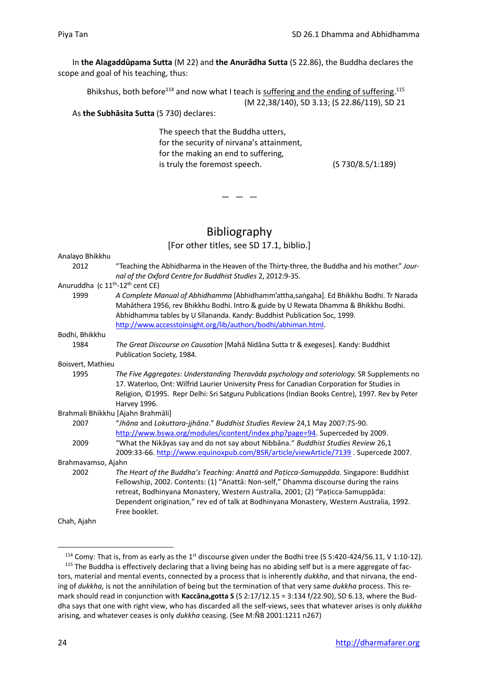In **the Alagaddûpama Sutta** (M 22) and **the Anurādha Sutta** (S 22.86), the Buddha declares the scope and goal of his teaching, thus:

Bhikshus, both before<sup>114</sup> and now what I teach is suffering and the ending of suffering.<sup>115</sup> (M 22,38/140), SD 3.13; (S 22.86/119), SD 21

#### As **the Subhāsita Sutta** (S 730) declares:

The speech that the Buddha utters, for the security of nirvana's attainment, for the making an end to suffering, is truly the foremost speech. (S 730/8.5/1:189)

 $-$ 

## Bibliography

[For other titles, see SD 17.1, biblio.]

| Analayo Bhikkhu                                          |                                                                                                                                                                                                                                                                                                                                                                                |
|----------------------------------------------------------|--------------------------------------------------------------------------------------------------------------------------------------------------------------------------------------------------------------------------------------------------------------------------------------------------------------------------------------------------------------------------------|
| 2012                                                     | "Teaching the Abhidharma in the Heaven of the Thirty-three, the Buddha and his mother." Jour-<br>nal of the Oxford Centre for Buddhist Studies 2, 2012:9-35.                                                                                                                                                                                                                   |
| Anuruddha (c 11 <sup>th</sup> -12 <sup>th</sup> cent CE) |                                                                                                                                                                                                                                                                                                                                                                                |
| 1999                                                     | A Complete Manual of Abhidhamma [Abhidhamm'attha,sangaha]. Ed Bhikkhu Bodhi. Tr Narada<br>Mahāthera 1956, rev Bhikkhu Bodhi. Intro & guide by U Rewata Dhamma & Bhikkhu Bodhi.<br>Abhidhamma tables by U Sīlananda. Kandy: Buddhist Publication Soc, 1999.<br>http://www.accesstoinsight.org/lib/authors/bodhi/abhiman.html.                                                   |
| Bodhi, Bhikkhu                                           |                                                                                                                                                                                                                                                                                                                                                                                |
| 1984                                                     | The Great Discourse on Causation [Mahā Nidāna Sutta tr & exegeses]. Kandy: Buddhist<br>Publication Society, 1984.                                                                                                                                                                                                                                                              |
| Boisvert, Mathieu                                        |                                                                                                                                                                                                                                                                                                                                                                                |
| 1995                                                     | The Five Aggregates: Understanding Theravada psychology and soteriology. SR Supplements no<br>17. Waterloo, Ont: Wilfrid Laurier University Press for Canadian Corporation for Studies in<br>Religion, ©1995. Repr Delhi: Sri Satguru Publications (Indian Books Centre), 1997. Rev by Peter<br>Harvey 1996.                                                                   |
|                                                          | Brahmali Bhikkhu [Ajahn Brahmāli]                                                                                                                                                                                                                                                                                                                                              |
| 2007                                                     | "Jhāna and Lokuttara-jjhāna." Buddhist Studies Review 24,1 May 2007:75-90.<br>http://www.bswa.org/modules/icontent/index.php?page=94. Superceded by 2009.                                                                                                                                                                                                                      |
| 2009                                                     | "What the Nikayas say and do not say about Nibbana." Buddhist Studies Review 26,1<br>2009:33-66. http://www.equinoxpub.com/BSR/article/viewArticle/7139. Supercede 2007.                                                                                                                                                                                                       |
| Brahmavamso, Ajahn                                       |                                                                                                                                                                                                                                                                                                                                                                                |
| 2002                                                     | The Heart of the Buddha's Teaching: Anattā and Pațicca-Samuppāda. Singapore: Buddhist<br>Fellowship, 2002. Contents: (1) "Anattā: Non-self," Dhamma discourse during the rains<br>retreat, Bodhinyana Monastery, Western Australia, 2001; (2) "Pațicca-Samuppāda:<br>Dependent origination," rev ed of talk at Bodhinyana Monastery, Western Australia, 1992.<br>Free booklet. |
| Chah, Ajahn                                              |                                                                                                                                                                                                                                                                                                                                                                                |

<sup>&</sup>lt;sup>114</sup> Comy: That is, from as early as the 1<sup>st</sup> discourse given under the Bodhi tree (S 5:420-424/56.11, V 1:10-12). <sup>115</sup> The Buddha is effectively declaring that a living being has no abiding self but is a mere aggregate of factors, material and mental events, connected by a process that is inherently *dukkha*, and that nirvana, the ending of *dukkha,* is not the annihilation of being but the termination of that very same *dukkha* process. This remark should read in conjunction with **Kaccāna,gotta S** (S 2:17/12.15 = 3:134 f/22.90), SD 6.13, where the Buddha says that one with right view, who has discarded all the self-views, sees that whatever arises is only *dukkha*  arising*,* and whatever ceases is only *dukkha* ceasing. (See M:ÑB 2001:1211 n267)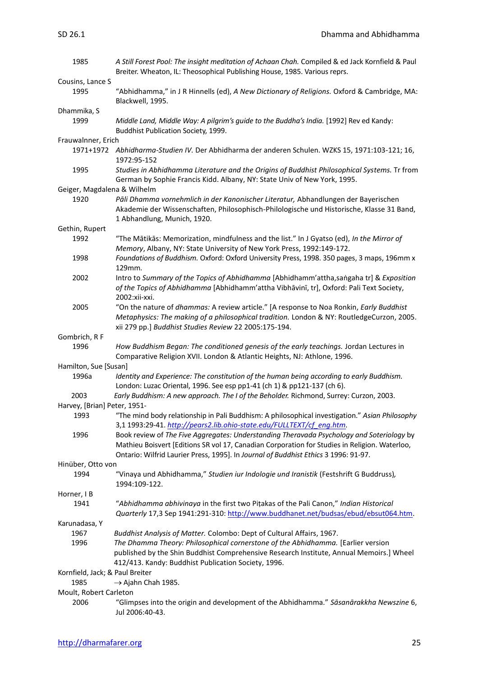| 1985                            | A Still Forest Pool: The insight meditation of Achaan Chah. Compiled & ed Jack Kornfield & Paul<br>Breiter. Wheaton, IL: Theosophical Publishing House, 1985. Various reprs.                                                                                                      |
|---------------------------------|-----------------------------------------------------------------------------------------------------------------------------------------------------------------------------------------------------------------------------------------------------------------------------------|
| Cousins, Lance S                |                                                                                                                                                                                                                                                                                   |
| 1995                            | "Abhidhamma," in J R Hinnells (ed), A New Dictionary of Religions. Oxford & Cambridge, MA:<br>Blackwell, 1995.                                                                                                                                                                    |
| Dhammika, S                     |                                                                                                                                                                                                                                                                                   |
| 1999                            | Middle Land, Middle Way: A pilgrim's guide to the Buddha's India. [1992] Rev ed Kandy:<br>Buddhist Publication Society, 1999.                                                                                                                                                     |
| Frauwalnner, Erich              |                                                                                                                                                                                                                                                                                   |
|                                 | 1971+1972 Abhidharma-Studien IV. Der Abhidharma der anderen Schulen. WZKS 15, 1971:103-121; 16,<br>1972:95-152                                                                                                                                                                    |
| 1995                            | Studies in Abhidhamma Literature and the Origins of Buddhist Philosophical Systems. Tr from<br>German by Sophie Francis Kidd. Albany, NY: State Univ of New York, 1995.                                                                                                           |
| Geiger, Magdalena & Wilhelm     |                                                                                                                                                                                                                                                                                   |
| 1920                            | Pāli Dhamma vornehmlich in der Kanonischer Literatur, Abhandlungen der Bayerischen<br>Akademie der Wissenschaften, Philosophisch-Philologische und Historische, Klasse 31 Band,<br>1 Abhandlung, Munich, 1920.                                                                    |
| Gethin, Rupert                  |                                                                                                                                                                                                                                                                                   |
| 1992                            | "The Mātikās: Memorization, mindfulness and the list." In J Gyatso (ed), In the Mirror of<br>Memory, Albany, NY: State University of New York Press, 1992:149-172.                                                                                                                |
| 1998                            | Foundations of Buddhism. Oxford: Oxford University Press, 1998. 350 pages, 3 maps, 196mm x<br>129mm.                                                                                                                                                                              |
| 2002                            | Intro to Summary of the Topics of Abhidhamma [Abhidhamm'attha,sangaha tr] & Exposition<br>of the Topics of Abhidhamma [Abhidhamm'attha Vibhāvinī, tr], Oxford: Pali Text Society,<br>2002:xii-xxi.                                                                                |
| 2005                            | "On the nature of dhammas: A review article." [A response to Noa Ronkin, Early Buddhist<br>Metaphysics: The making of a philosophical tradition. London & NY: RoutledgeCurzon, 2005.<br>xii 279 pp.] Buddhist Studies Review 22 2005:175-194.                                     |
| Gombrich, R F                   |                                                                                                                                                                                                                                                                                   |
| 1996                            | How Buddhism Began: The conditioned genesis of the early teachings. Jordan Lectures in<br>Comparative Religion XVII. London & Atlantic Heights, NJ: Athlone, 1996.                                                                                                                |
| Hamilton, Sue [Susan]           |                                                                                                                                                                                                                                                                                   |
| 1996a                           | Identity and Experience: The constitution of the human being according to early Buddhism.<br>London: Luzac Oriental, 1996. See esp pp1-41 (ch 1) & pp121-137 (ch 6).                                                                                                              |
| 2003                            | Early Buddhism: A new approach. The I of the Beholder. Richmond, Surrey: Curzon, 2003.                                                                                                                                                                                            |
| Harvey, [Brian] Peter, 1951-    |                                                                                                                                                                                                                                                                                   |
| 1993                            | "The mind body relationship in Pali Buddhism: A philosophical investigation." Asian Philosophy<br>3,1 1993:29-41. http://pears2.lib.ohio-state.edu/FULLTEXT/cf eng.htm.                                                                                                           |
| 1996                            | Book review of The Five Aggregates: Understanding Theravada Psychology and Soteriology by<br>Mathieu Boisvert [Editions SR vol 17, Canadian Corporation for Studies in Religion. Waterloo,<br>Ontario: Wilfrid Laurier Press, 1995]. In Journal of Buddhist Ethics 3 1996: 91-97. |
| Hinüber, Otto von               |                                                                                                                                                                                                                                                                                   |
| 1994                            | "Vinaya und Abhidhamma," Studien iur Indologie und Iranistik (Festshrift G Buddruss),<br>1994:109-122.                                                                                                                                                                            |
| Horner, I B                     |                                                                                                                                                                                                                                                                                   |
| 1941                            | "Abhidhamma abhivinaya in the first two Pitakas of the Pali Canon," Indian Historical<br>Quarterly 17,3 Sep 1941:291-310: http://www.buddhanet.net/budsas/ebud/ebsut064.htm.                                                                                                      |
| Karunadasa, Y                   |                                                                                                                                                                                                                                                                                   |
| 1967<br>1996                    | Buddhist Analysis of Matter. Colombo: Dept of Cultural Affairs, 1967.<br>The Dhamma Theory: Philosophical cornerstone of the Abhidhamma. [Earlier version                                                                                                                         |
|                                 | published by the Shin Buddhist Comprehensive Research Institute, Annual Memoirs.] Wheel<br>412/413. Kandy: Buddhist Publication Society, 1996.                                                                                                                                    |
| Kornfield, Jack; & Paul Breiter |                                                                                                                                                                                                                                                                                   |
| 1985                            | $\rightarrow$ Ajahn Chah 1985.                                                                                                                                                                                                                                                    |
| Moult, Robert Carleton          |                                                                                                                                                                                                                                                                                   |
| 2006                            | "Glimpses into the origin and development of the Abhidhamma." Sāsanārakkha Newszine 6,<br>Jul 2006:40-43.                                                                                                                                                                         |